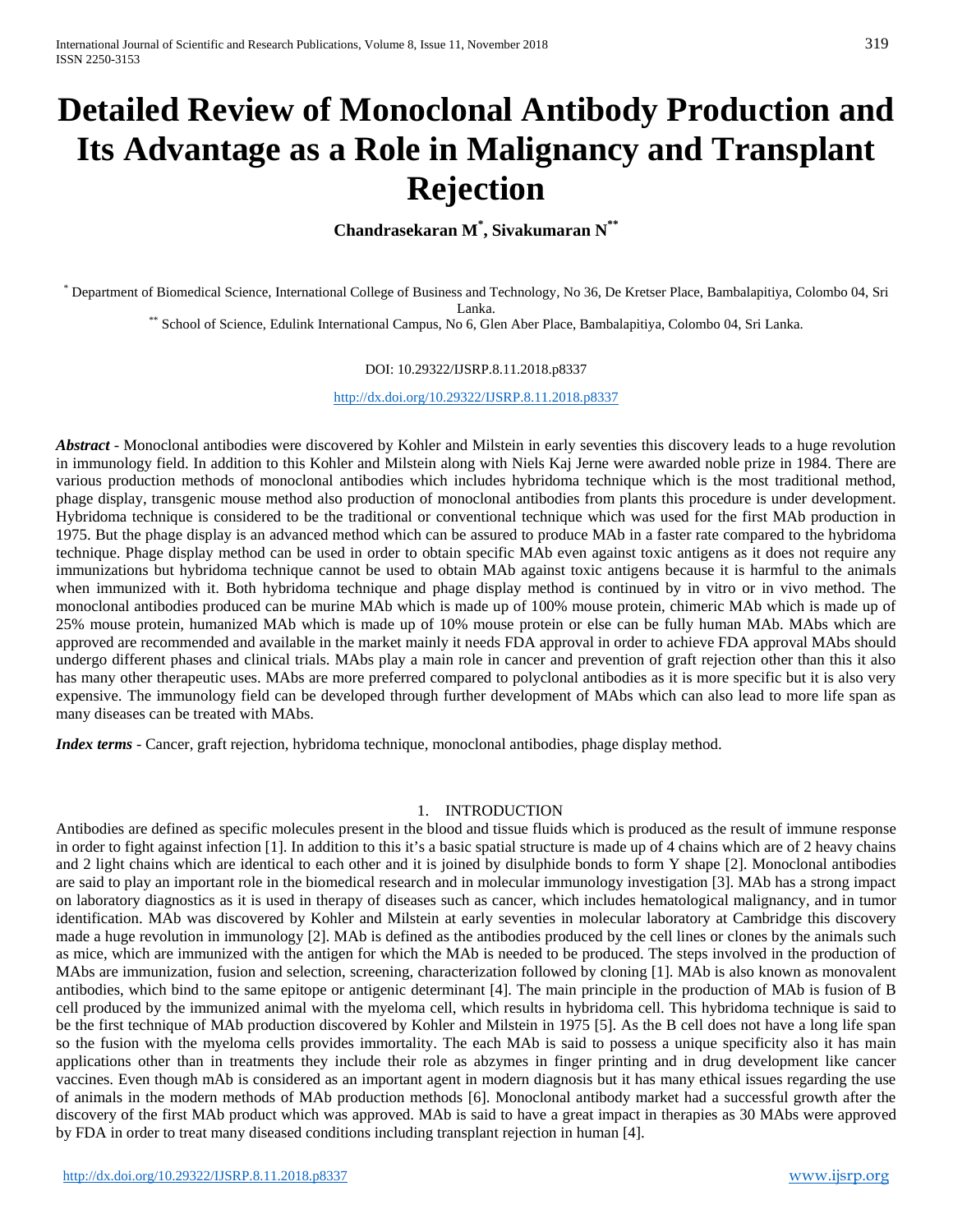# **Detailed Review of Monoclonal Antibody Production and Its Advantage as a Role in Malignancy and Transplant Rejection**

**Chandrasekaran M\* , Sivakumaran N\*\***

\* Department of Biomedical Science, International College of Business and Technology, No 36, De Kretser Place, Bambalapitiya, Colombo 04, Sri Lanka. \*\* School of Science, Edulink International Campus, No 6, Glen Aber Place, Bambalapitiya, Colombo 04, Sri Lanka.

#### DOI: 10.29322/IJSRP.8.11.2018.p8337

<http://dx.doi.org/10.29322/IJSRP.8.11.2018.p8337>

*Abstract* - Monoclonal antibodies were discovered by Kohler and Milstein in early seventies this discovery leads to a huge revolution in immunology field. In addition to this Kohler and Milstein along with Niels Kaj Jerne were awarded noble prize in 1984. There are various production methods of monoclonal antibodies which includes hybridoma technique which is the most traditional method, phage display, transgenic mouse method also production of monoclonal antibodies from plants this procedure is under development. Hybridoma technique is considered to be the traditional or conventional technique which was used for the first MAb production in 1975. But the phage display is an advanced method which can be assured to produce MAb in a faster rate compared to the hybridoma technique. Phage display method can be used in order to obtain specific MAb even against toxic antigens as it does not require any immunizations but hybridoma technique cannot be used to obtain MAb against toxic antigens because it is harmful to the animals when immunized with it. Both hybridoma technique and phage display method is continued by in vitro or in vivo method. The monoclonal antibodies produced can be murine MAb which is made up of 100% mouse protein, chimeric MAb which is made up of 25% mouse protein, humanized MAb which is made up of 10% mouse protein or else can be fully human MAb. MAbs which are approved are recommended and available in the market mainly it needs FDA approval in order to achieve FDA approval MAbs should undergo different phases and clinical trials. MAbs play a main role in cancer and prevention of graft rejection other than this it also has many other therapeutic uses. MAbs are more preferred compared to polyclonal antibodies as it is more specific but it is also very expensive. The immunology field can be developed through further development of MAbs which can also lead to more life span as many diseases can be treated with MAbs.

*Index terms* - Cancer, graft rejection, hybridoma technique, monoclonal antibodies, phage display method.

#### 1. INTRODUCTION

Antibodies are defined as specific molecules present in the blood and tissue fluids which is produced as the result of immune response in order to fight against infection [1]. In addition to this it's a basic spatial structure is made up of 4 chains which are of 2 heavy chains and 2 light chains which are identical to each other and it is joined by disulphide bonds to form Y shape [2]. Monoclonal antibodies are said to play an important role in the biomedical research and in molecular immunology investigation [3]. MAb has a strong impact on laboratory diagnostics as it is used in therapy of diseases such as cancer, which includes hematological malignancy, and in tumor identification. MAb was discovered by Kohler and Milstein at early seventies in molecular laboratory at Cambridge this discovery made a huge revolution in immunology [2]. MAb is defined as the antibodies produced by the cell lines or clones by the animals such as mice, which are immunized with the antigen for which the MAb is needed to be produced. The steps involved in the production of MAbs are immunization, fusion and selection, screening, characterization followed by cloning [1]. MAb is also known as monovalent antibodies, which bind to the same epitope or antigenic determinant [4]. The main principle in the production of MAb is fusion of B cell produced by the immunized animal with the myeloma cell, which results in hybridoma cell. This hybridoma technique is said to be the first technique of MAb production discovered by Kohler and Milstein in 1975 [5]. As the B cell does not have a long life span so the fusion with the myeloma cells provides immortality. The each MAb is said to possess a unique specificity also it has main applications other than in treatments they include their role as abzymes in finger printing and in drug development like cancer vaccines. Even though mAb is considered as an important agent in modern diagnosis but it has many ethical issues regarding the use of animals in the modern methods of MAb production methods [6]. Monoclonal antibody market had a successful growth after the discovery of the first MAb product which was approved. MAb is said to have a great impact in therapies as 30 MAbs were approved by FDA in order to treat many diseased conditions including transplant rejection in human [4].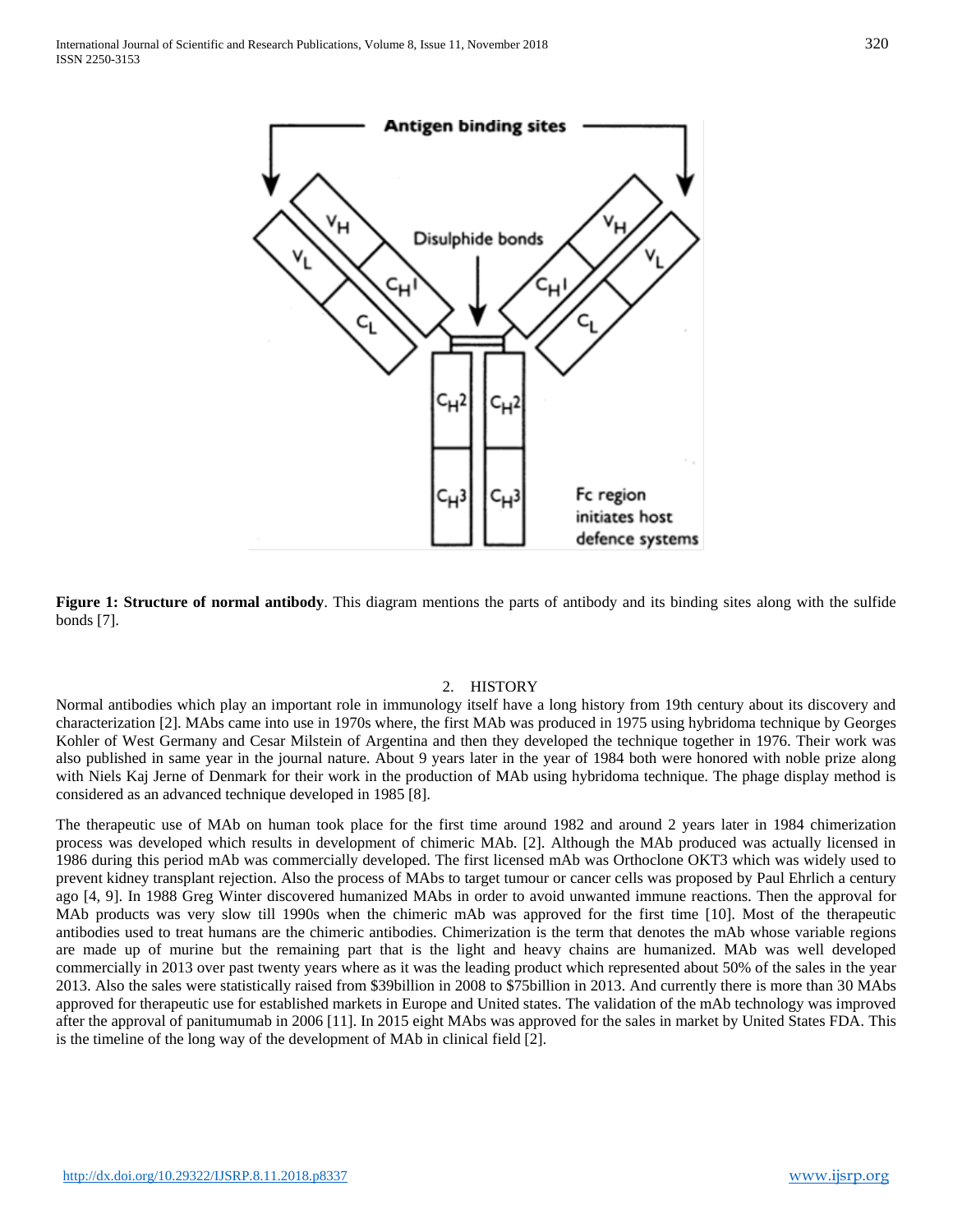

**Figure 1: Structure of normal antibody**. This diagram mentions the parts of antibody and its binding sites along with the sulfide bonds [7].

#### 2. HISTORY

Normal antibodies which play an important role in immunology itself have a long history from 19th century about its discovery and characterization [2]. MAbs came into use in 1970s where, the first MAb was produced in 1975 using hybridoma technique by Georges Kohler of West Germany and Cesar Milstein of Argentina and then they developed the technique together in 1976. Their work was also published in same year in the journal nature. About 9 years later in the year of 1984 both were honored with noble prize along with Niels Kaj Jerne of Denmark for their work in the production of MAb using hybridoma technique. The phage display method is considered as an advanced technique developed in 1985 [8].

The therapeutic use of MAb on human took place for the first time around 1982 and around 2 years later in 1984 chimerization process was developed which results in development of chimeric MAb. [2]. Although the MAb produced was actually licensed in 1986 during this period mAb was commercially developed. The first licensed mAb was Orthoclone OKT3 which was widely used to prevent kidney transplant rejection. Also the process of MAbs to target tumour or cancer cells was proposed by Paul Ehrlich a century ago [4, 9]. In 1988 Greg Winter discovered humanized MAbs in order to avoid unwanted immune reactions. Then the approval for MAb products was very slow till 1990s when the chimeric mAb was approved for the first time [10]. Most of the therapeutic antibodies used to treat humans are the chimeric antibodies. Chimerization is the term that denotes the mAb whose variable regions are made up of murine but the remaining part that is the light and heavy chains are humanized. MAb was well developed commercially in 2013 over past twenty years where as it was the leading product which represented about 50% of the sales in the year 2013. Also the sales were statistically raised from \$39billion in 2008 to \$75billion in 2013. And currently there is more than 30 MAbs approved for therapeutic use for established markets in Europe and United states. The validation of the mAb technology was improved after the approval of panitumumab in 2006 [11]. In 2015 eight MAbs was approved for the sales in market by United States FDA. This is the timeline of the long way of the development of MAb in clinical field [2].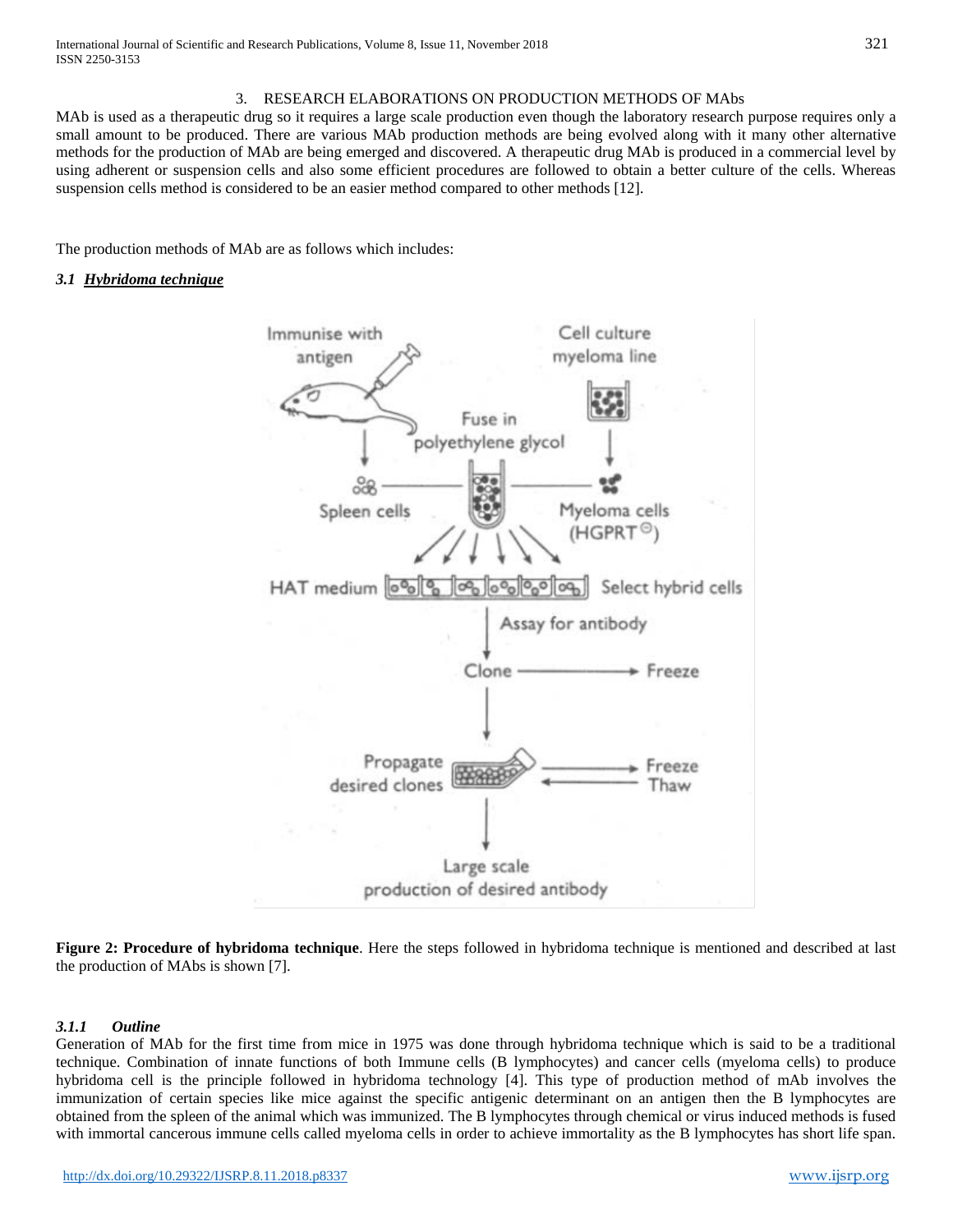#### 3. RESEARCH ELABORATIONS ON PRODUCTION METHODS OF MAbs

MAb is used as a therapeutic drug so it requires a large scale production even though the laboratory research purpose requires only a small amount to be produced. There are various MAb production methods are being evolved along with it many other alternative methods for the production of MAb are being emerged and discovered. A therapeutic drug MAb is produced in a commercial level by using adherent or suspension cells and also some efficient procedures are followed to obtain a better culture of the cells. Whereas suspension cells method is considered to be an easier method compared to other methods [12].

The production methods of MAb are as follows which includes:

#### *3.1 Hybridoma technique*



**Figure 2: Procedure of hybridoma technique**. Here the steps followed in hybridoma technique is mentioned and described at last the production of MAbs is shown [7].

#### *3.1.1 Outline*

Generation of MAb for the first time from mice in 1975 was done through hybridoma technique which is said to be a traditional technique. Combination of innate functions of both Immune cells (B lymphocytes) and cancer cells (myeloma cells) to produce hybridoma cell is the principle followed in hybridoma technology [4]. This type of production method of mAb involves the immunization of certain species like mice against the specific antigenic determinant on an antigen then the B lymphocytes are obtained from the spleen of the animal which was immunized. The B lymphocytes through chemical or virus induced methods is fused with immortal cancerous immune cells called myeloma cells in order to achieve immortality as the B lymphocytes has short life span.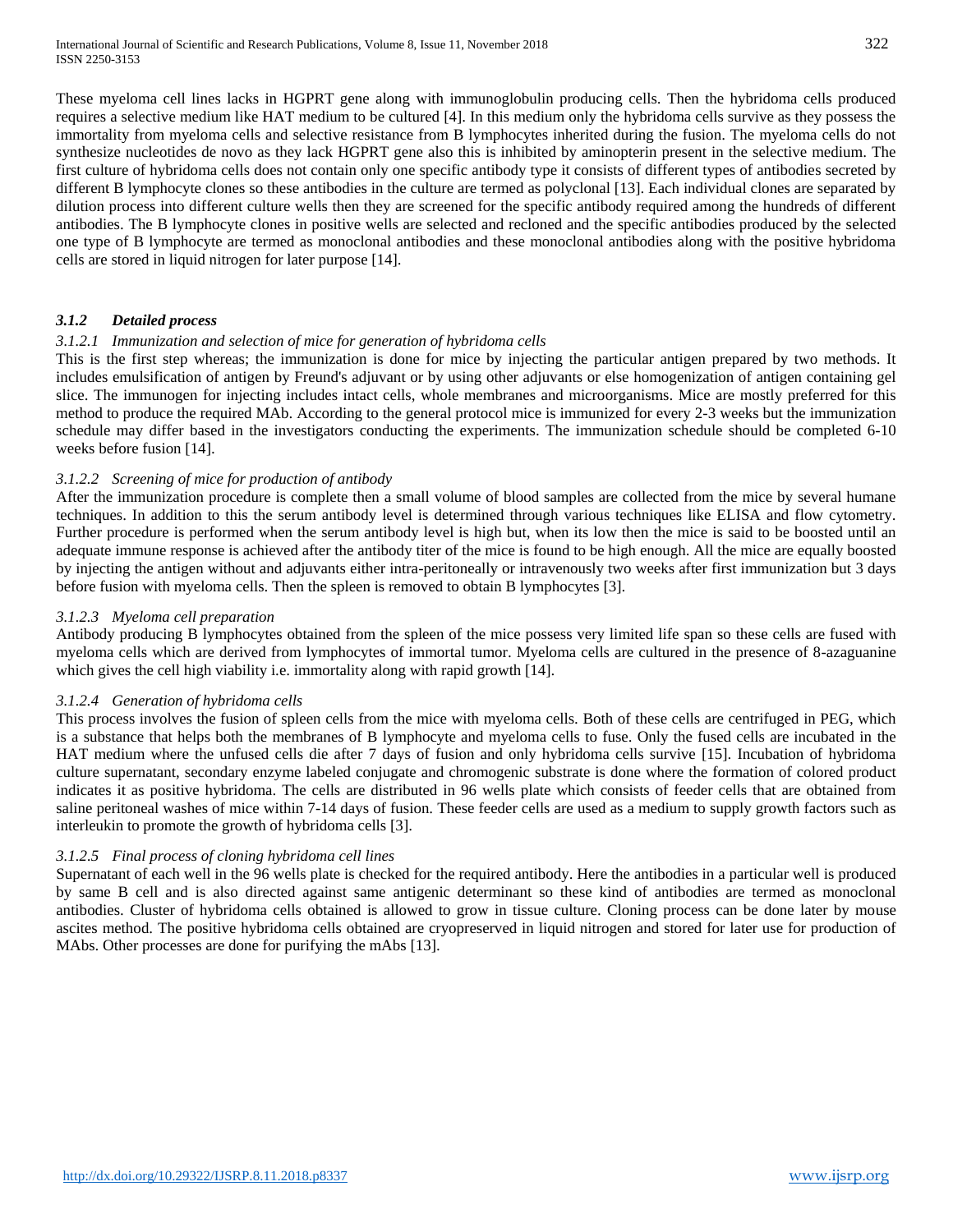These myeloma cell lines lacks in HGPRT gene along with immunoglobulin producing cells. Then the hybridoma cells produced requires a selective medium like HAT medium to be cultured [4]. In this medium only the hybridoma cells survive as they possess the immortality from myeloma cells and selective resistance from B lymphocytes inherited during the fusion. The myeloma cells do not synthesize nucleotides de novo as they lack HGPRT gene also this is inhibited by aminopterin present in the selective medium. The first culture of hybridoma cells does not contain only one specific antibody type it consists of different types of antibodies secreted by different B lymphocyte clones so these antibodies in the culture are termed as polyclonal [13]. Each individual clones are separated by dilution process into different culture wells then they are screened for the specific antibody required among the hundreds of different antibodies. The B lymphocyte clones in positive wells are selected and recloned and the specific antibodies produced by the selected one type of B lymphocyte are termed as monoclonal antibodies and these monoclonal antibodies along with the positive hybridoma cells are stored in liquid nitrogen for later purpose [14].

## *3.1.2 Detailed process*

# *3.1.2.1 Immunization and selection of mice for generation of hybridoma cells*

This is the first step whereas; the immunization is done for mice by injecting the particular antigen prepared by two methods. It includes emulsification of antigen by Freund's adjuvant or by using other adjuvants or else homogenization of antigen containing gel slice. The immunogen for injecting includes intact cells, whole membranes and microorganisms. Mice are mostly preferred for this method to produce the required MAb. According to the general protocol mice is immunized for every 2-3 weeks but the immunization schedule may differ based in the investigators conducting the experiments. The immunization schedule should be completed 6-10 weeks before fusion [14].

## *3.1.2.2 Screening of mice for production of antibody*

After the immunization procedure is complete then a small volume of blood samples are collected from the mice by several humane techniques. In addition to this the serum antibody level is determined through various techniques like ELISA and flow cytometry. Further procedure is performed when the serum antibody level is high but, when its low then the mice is said to be boosted until an adequate immune response is achieved after the antibody titer of the mice is found to be high enough. All the mice are equally boosted by injecting the antigen without and adjuvants either intra-peritoneally or intravenously two weeks after first immunization but 3 days before fusion with myeloma cells. Then the spleen is removed to obtain B lymphocytes [3].

#### *3.1.2.3 Myeloma cell preparation*

Antibody producing B lymphocytes obtained from the spleen of the mice possess very limited life span so these cells are fused with myeloma cells which are derived from lymphocytes of immortal tumor. Myeloma cells are cultured in the presence of 8-azaguanine which gives the cell high viability i.e. immortality along with rapid growth [14].

#### *3.1.2.4 Generation of hybridoma cells*

This process involves the fusion of spleen cells from the mice with myeloma cells. Both of these cells are centrifuged in PEG, which is a substance that helps both the membranes of B lymphocyte and myeloma cells to fuse. Only the fused cells are incubated in the HAT medium where the unfused cells die after 7 days of fusion and only hybridoma cells survive [15]. Incubation of hybridoma culture supernatant, secondary enzyme labeled conjugate and chromogenic substrate is done where the formation of colored product indicates it as positive hybridoma. The cells are distributed in 96 wells plate which consists of feeder cells that are obtained from saline peritoneal washes of mice within 7-14 days of fusion. These feeder cells are used as a medium to supply growth factors such as interleukin to promote the growth of hybridoma cells [3].

## *3.1.2.5 Final process of cloning hybridoma cell lines*

Supernatant of each well in the 96 wells plate is checked for the required antibody. Here the antibodies in a particular well is produced by same B cell and is also directed against same antigenic determinant so these kind of antibodies are termed as monoclonal antibodies. Cluster of hybridoma cells obtained is allowed to grow in tissue culture. Cloning process can be done later by mouse ascites method. The positive hybridoma cells obtained are cryopreserved in liquid nitrogen and stored for later use for production of MAbs. Other processes are done for purifying the mAbs [13].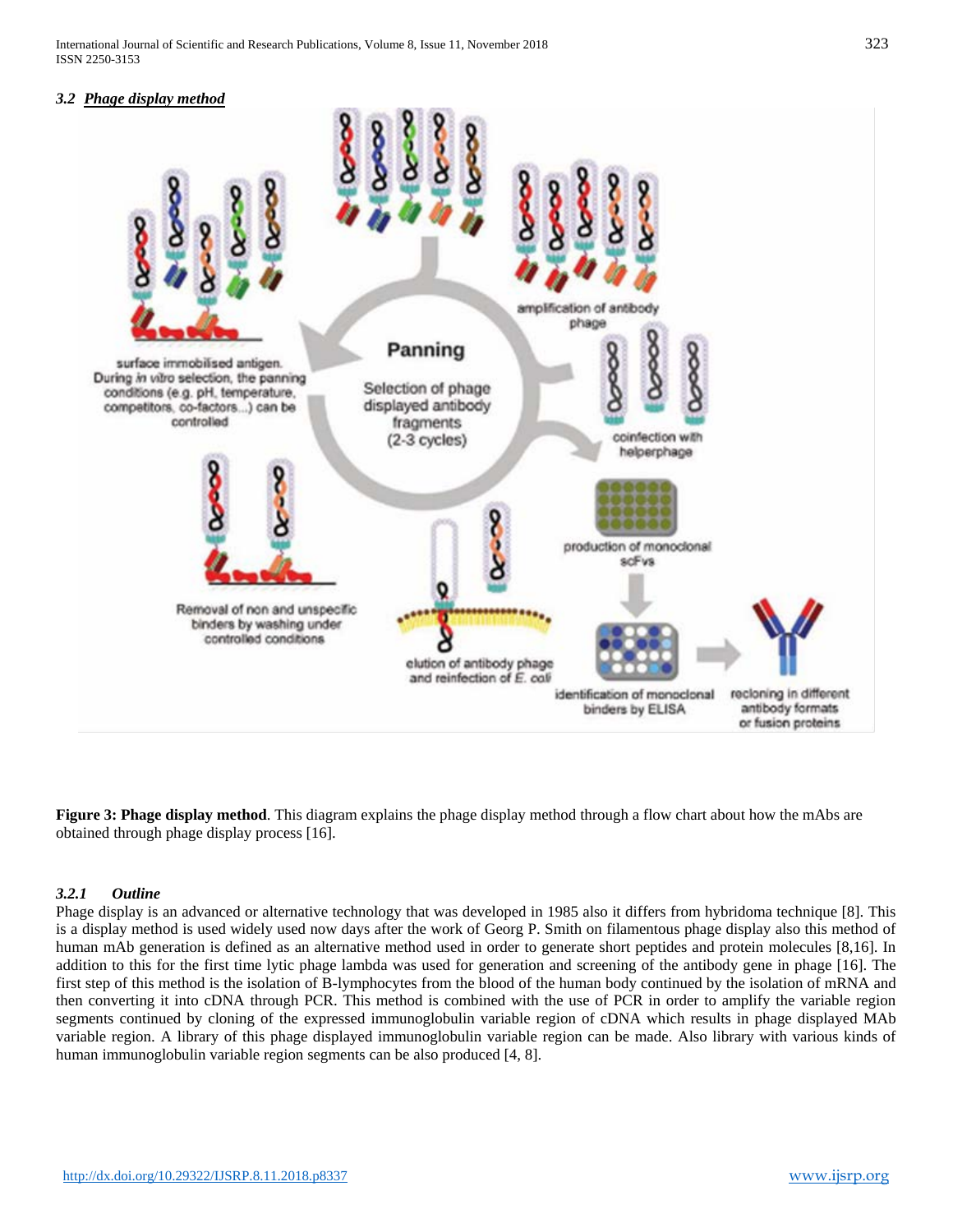#### *3.2 Phage display method*



**Figure 3: Phage display method**. This diagram explains the phage display method through a flow chart about how the mAbs are obtained through phage display process [16].

## *3.2.1 Outline*

Phage display is an advanced or alternative technology that was developed in 1985 also it differs from hybridoma technique [8]. This is a display method is used widely used now days after the work of Georg P. Smith on filamentous phage display also this method of human mAb generation is defined as an alternative method used in order to generate short peptides and protein molecules [8,16]. In addition to this for the first time lytic phage lambda was used for generation and screening of the antibody gene in phage [16]. The first step of this method is the isolation of B-lymphocytes from the blood of the human body continued by the isolation of mRNA and then converting it into cDNA through PCR. This method is combined with the use of PCR in order to amplify the variable region segments continued by cloning of the expressed immunoglobulin variable region of cDNA which results in phage displayed MAb variable region. A library of this phage displayed immunoglobulin variable region can be made. Also library with various kinds of human immunoglobulin variable region segments can be also produced [4, 8].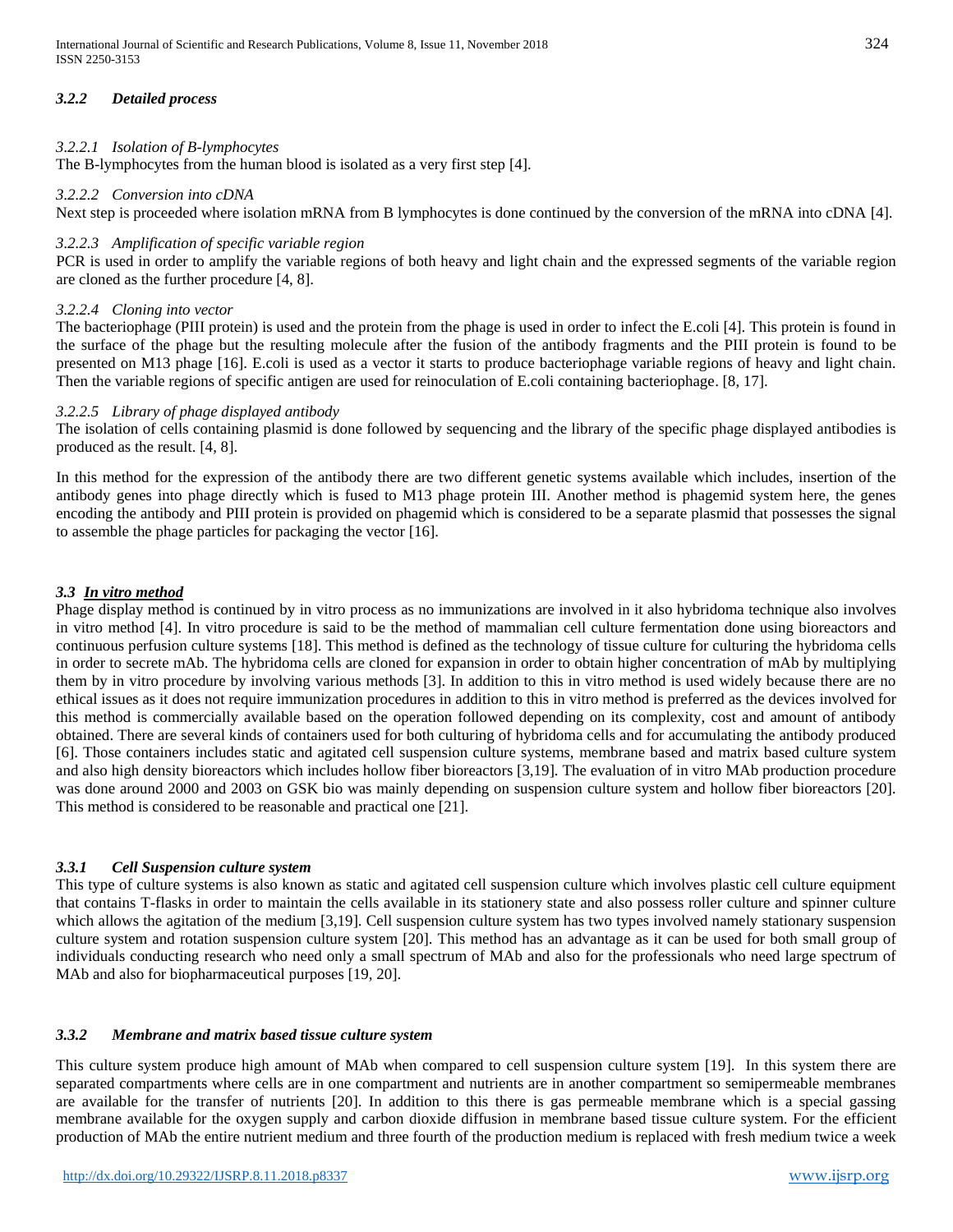# *3.2.2 Detailed process*

## *3.2.2.1 Isolation of B-lymphocytes*

The B-lymphocytes from the human blood is isolated as a very first step [4].

#### *3.2.2.2 Conversion into cDNA*

Next step is proceeded where isolation mRNA from B lymphocytes is done continued by the conversion of the mRNA into cDNA [4].

## *3.2.2.3 Amplification of specific variable region*

PCR is used in order to amplify the variable regions of both heavy and light chain and the expressed segments of the variable region are cloned as the further procedure [4, 8].

## *3.2.2.4 Cloning into vector*

The bacteriophage (PIII protein) is used and the protein from the phage is used in order to infect the E.coli [4]. This protein is found in the surface of the phage but the resulting molecule after the fusion of the antibody fragments and the PIII protein is found to be presented on M13 phage [16]. E.coli is used as a vector it starts to produce bacteriophage variable regions of heavy and light chain. Then the variable regions of specific antigen are used for reinoculation of E.coli containing bacteriophage. [8, 17].

## *3.2.2.5 Library of phage displayed antibody*

The isolation of cells containing plasmid is done followed by sequencing and the library of the specific phage displayed antibodies is produced as the result. [4, 8].

In this method for the expression of the antibody there are two different genetic systems available which includes, insertion of the antibody genes into phage directly which is fused to M13 phage protein III. Another method is phagemid system here, the genes encoding the antibody and PIII protein is provided on phagemid which is considered to be a separate plasmid that possesses the signal to assemble the phage particles for packaging the vector [16].

## *3.3 In vitro method*

Phage display method is continued by in vitro process as no immunizations are involved in it also hybridoma technique also involves in vitro method [4]. In vitro procedure is said to be the method of mammalian cell culture fermentation done using bioreactors and continuous perfusion culture systems [18]. This method is defined as the technology of tissue culture for culturing the hybridoma cells in order to secrete mAb. The hybridoma cells are cloned for expansion in order to obtain higher concentration of mAb by multiplying them by in vitro procedure by involving various methods [3]. In addition to this in vitro method is used widely because there are no ethical issues as it does not require immunization procedures in addition to this in vitro method is preferred as the devices involved for this method is commercially available based on the operation followed depending on its complexity, cost and amount of antibody obtained. There are several kinds of containers used for both culturing of hybridoma cells and for accumulating the antibody produced [6]. Those containers includes static and agitated cell suspension culture systems, membrane based and matrix based culture system and also high density bioreactors which includes hollow fiber bioreactors [3,19]. The evaluation of in vitro MAb production procedure was done around 2000 and 2003 on GSK bio was mainly depending on suspension culture system and hollow fiber bioreactors [20]. This method is considered to be reasonable and practical one [21].

## *3.3.1 Cell Suspension culture system*

This type of culture systems is also known as static and agitated cell suspension culture which involves plastic cell culture equipment that contains T-flasks in order to maintain the cells available in its stationery state and also possess roller culture and spinner culture which allows the agitation of the medium [3,19]. Cell suspension culture system has two types involved namely stationary suspension culture system and rotation suspension culture system [20]. This method has an advantage as it can be used for both small group of individuals conducting research who need only a small spectrum of MAb and also for the professionals who need large spectrum of MAb and also for biopharmaceutical purposes [19, 20].

# *3.3.2 Membrane and matrix based tissue culture system*

This culture system produce high amount of MAb when compared to cell suspension culture system [19]. In this system there are separated compartments where cells are in one compartment and nutrients are in another compartment so semipermeable membranes are available for the transfer of nutrients [20]. In addition to this there is gas permeable membrane which is a special gassing membrane available for the oxygen supply and carbon dioxide diffusion in membrane based tissue culture system. For the efficient production of MAb the entire nutrient medium and three fourth of the production medium is replaced with fresh medium twice a week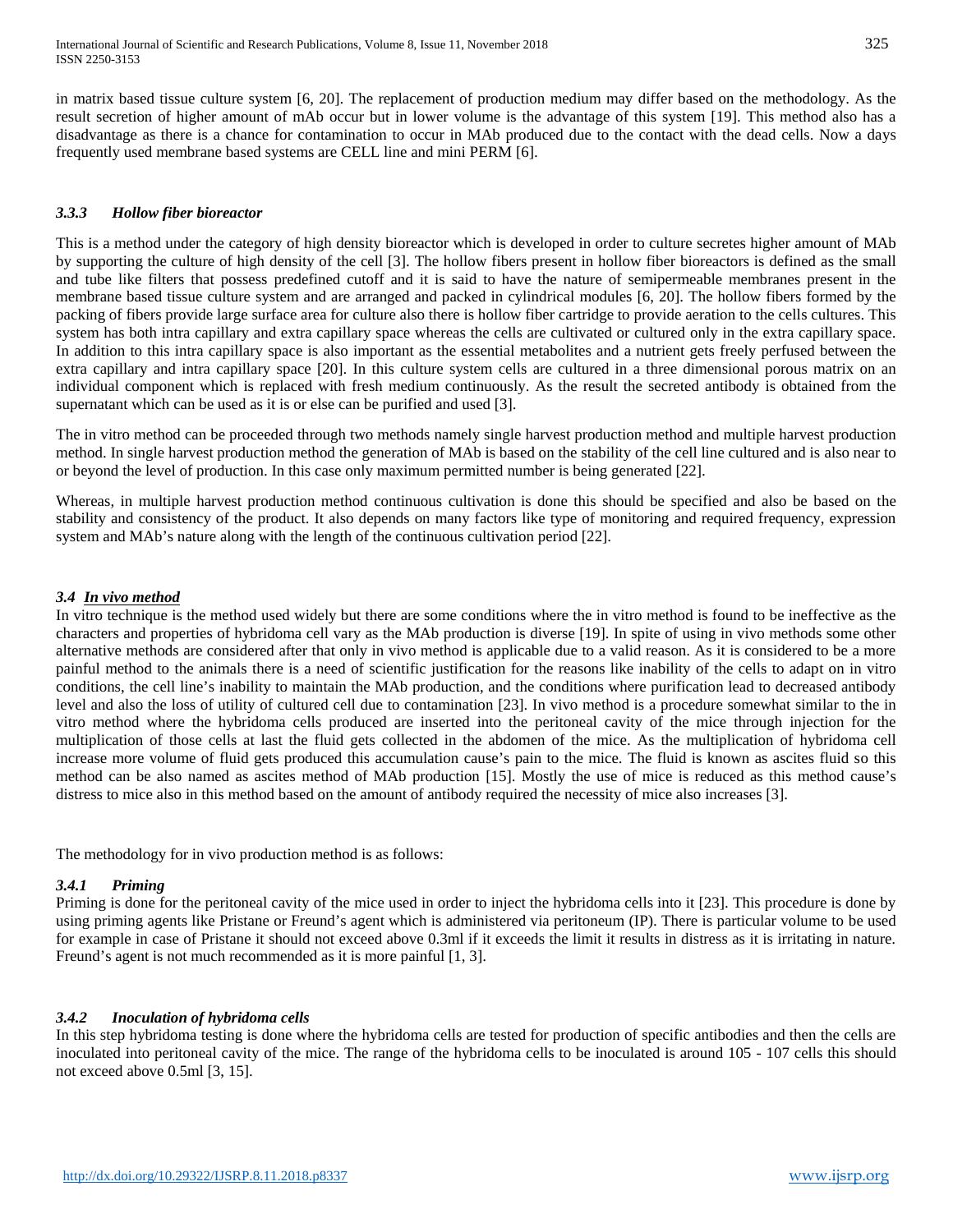in matrix based tissue culture system [6, 20]. The replacement of production medium may differ based on the methodology. As the result secretion of higher amount of mAb occur but in lower volume is the advantage of this system [19]. This method also has a disadvantage as there is a chance for contamination to occur in MAb produced due to the contact with the dead cells. Now a days frequently used membrane based systems are CELL line and mini PERM [6].

## *3.3.3 Hollow fiber bioreactor*

This is a method under the category of high density bioreactor which is developed in order to culture secretes higher amount of MAb by supporting the culture of high density of the cell [3]. The hollow fibers present in hollow fiber bioreactors is defined as the small and tube like filters that possess predefined cutoff and it is said to have the nature of semipermeable membranes present in the membrane based tissue culture system and are arranged and packed in cylindrical modules [6, 20]. The hollow fibers formed by the packing of fibers provide large surface area for culture also there is hollow fiber cartridge to provide aeration to the cells cultures. This system has both intra capillary and extra capillary space whereas the cells are cultivated or cultured only in the extra capillary space. In addition to this intra capillary space is also important as the essential metabolites and a nutrient gets freely perfused between the extra capillary and intra capillary space [20]. In this culture system cells are cultured in a three dimensional porous matrix on an individual component which is replaced with fresh medium continuously. As the result the secreted antibody is obtained from the supernatant which can be used as it is or else can be purified and used [3].

The in vitro method can be proceeded through two methods namely single harvest production method and multiple harvest production method. In single harvest production method the generation of MAb is based on the stability of the cell line cultured and is also near to or beyond the level of production. In this case only maximum permitted number is being generated [22].

Whereas, in multiple harvest production method continuous cultivation is done this should be specified and also be based on the stability and consistency of the product. It also depends on many factors like type of monitoring and required frequency, expression system and MAb's nature along with the length of the continuous cultivation period [22].

#### *3.4 In vivo method*

In vitro technique is the method used widely but there are some conditions where the in vitro method is found to be ineffective as the characters and properties of hybridoma cell vary as the MAb production is diverse [19]. In spite of using in vivo methods some other alternative methods are considered after that only in vivo method is applicable due to a valid reason. As it is considered to be a more painful method to the animals there is a need of scientific justification for the reasons like inability of the cells to adapt on in vitro conditions, the cell line's inability to maintain the MAb production, and the conditions where purification lead to decreased antibody level and also the loss of utility of cultured cell due to contamination [23]. In vivo method is a procedure somewhat similar to the in vitro method where the hybridoma cells produced are inserted into the peritoneal cavity of the mice through injection for the multiplication of those cells at last the fluid gets collected in the abdomen of the mice. As the multiplication of hybridoma cell increase more volume of fluid gets produced this accumulation cause's pain to the mice. The fluid is known as ascites fluid so this method can be also named as ascites method of MAb production [15]. Mostly the use of mice is reduced as this method cause's distress to mice also in this method based on the amount of antibody required the necessity of mice also increases [3].

The methodology for in vivo production method is as follows:

## *3.4.1 Priming*

Priming is done for the peritoneal cavity of the mice used in order to inject the hybridoma cells into it [23]. This procedure is done by using priming agents like Pristane or Freund's agent which is administered via peritoneum (IP). There is particular volume to be used for example in case of Pristane it should not exceed above 0.3ml if it exceeds the limit it results in distress as it is irritating in nature. Freund's agent is not much recommended as it is more painful [1, 3].

#### *3.4.2 Inoculation of hybridoma cells*

In this step hybridoma testing is done where the hybridoma cells are tested for production of specific antibodies and then the cells are inoculated into peritoneal cavity of the mice. The range of the hybridoma cells to be inoculated is around 105 - 107 cells this should not exceed above 0.5ml [3, 15].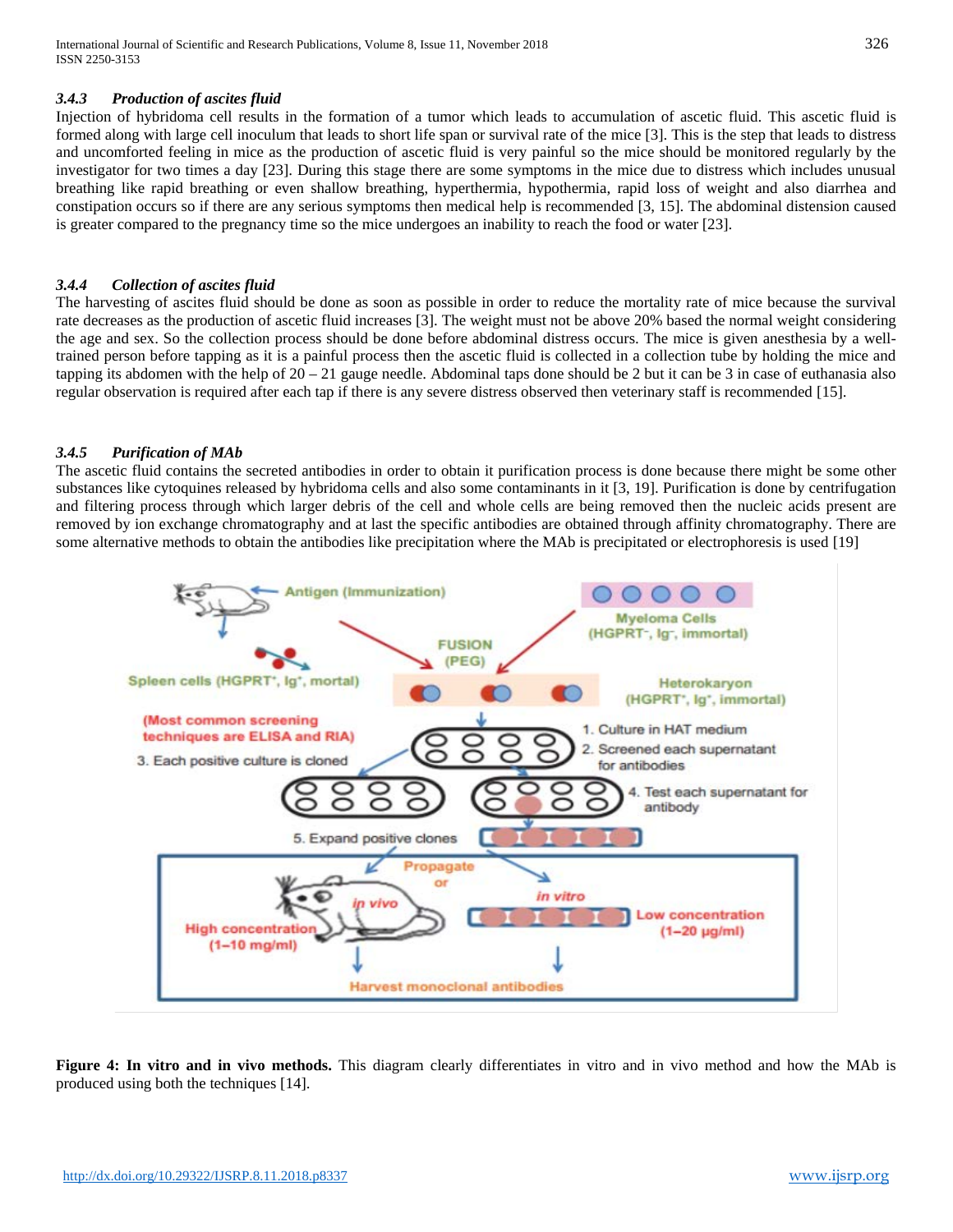#### *3.4.3 Production of ascites fluid*

Injection of hybridoma cell results in the formation of a tumor which leads to accumulation of ascetic fluid. This ascetic fluid is formed along with large cell inoculum that leads to short life span or survival rate of the mice [3]. This is the step that leads to distress and uncomforted feeling in mice as the production of ascetic fluid is very painful so the mice should be monitored regularly by the investigator for two times a day [23]. During this stage there are some symptoms in the mice due to distress which includes unusual breathing like rapid breathing or even shallow breathing, hyperthermia, hypothermia, rapid loss of weight and also diarrhea and constipation occurs so if there are any serious symptoms then medical help is recommended [3, 15]. The abdominal distension caused is greater compared to the pregnancy time so the mice undergoes an inability to reach the food or water [23].

#### *3.4.4 Collection of ascites fluid*

The harvesting of ascites fluid should be done as soon as possible in order to reduce the mortality rate of mice because the survival rate decreases as the production of ascetic fluid increases [3]. The weight must not be above 20% based the normal weight considering the age and sex. So the collection process should be done before abdominal distress occurs. The mice is given anesthesia by a welltrained person before tapping as it is a painful process then the ascetic fluid is collected in a collection tube by holding the mice and tapping its abdomen with the help of  $20 - 21$  gauge needle. Abdominal taps done should be 2 but it can be 3 in case of euthanasia also regular observation is required after each tap if there is any severe distress observed then veterinary staff is recommended [15].

## *3.4.5 Purification of MAb*

The ascetic fluid contains the secreted antibodies in order to obtain it purification process is done because there might be some other substances like cytoquines released by hybridoma cells and also some contaminants in it [3, 19]. Purification is done by centrifugation and filtering process through which larger debris of the cell and whole cells are being removed then the nucleic acids present are removed by ion exchange chromatography and at last the specific antibodies are obtained through affinity chromatography. There are some alternative methods to obtain the antibodies like precipitation where the MAb is precipitated or electrophoresis is used [19]



**Figure 4: In vitro and in vivo methods.** This diagram clearly differentiates in vitro and in vivo method and how the MAb is produced using both the techniques [14].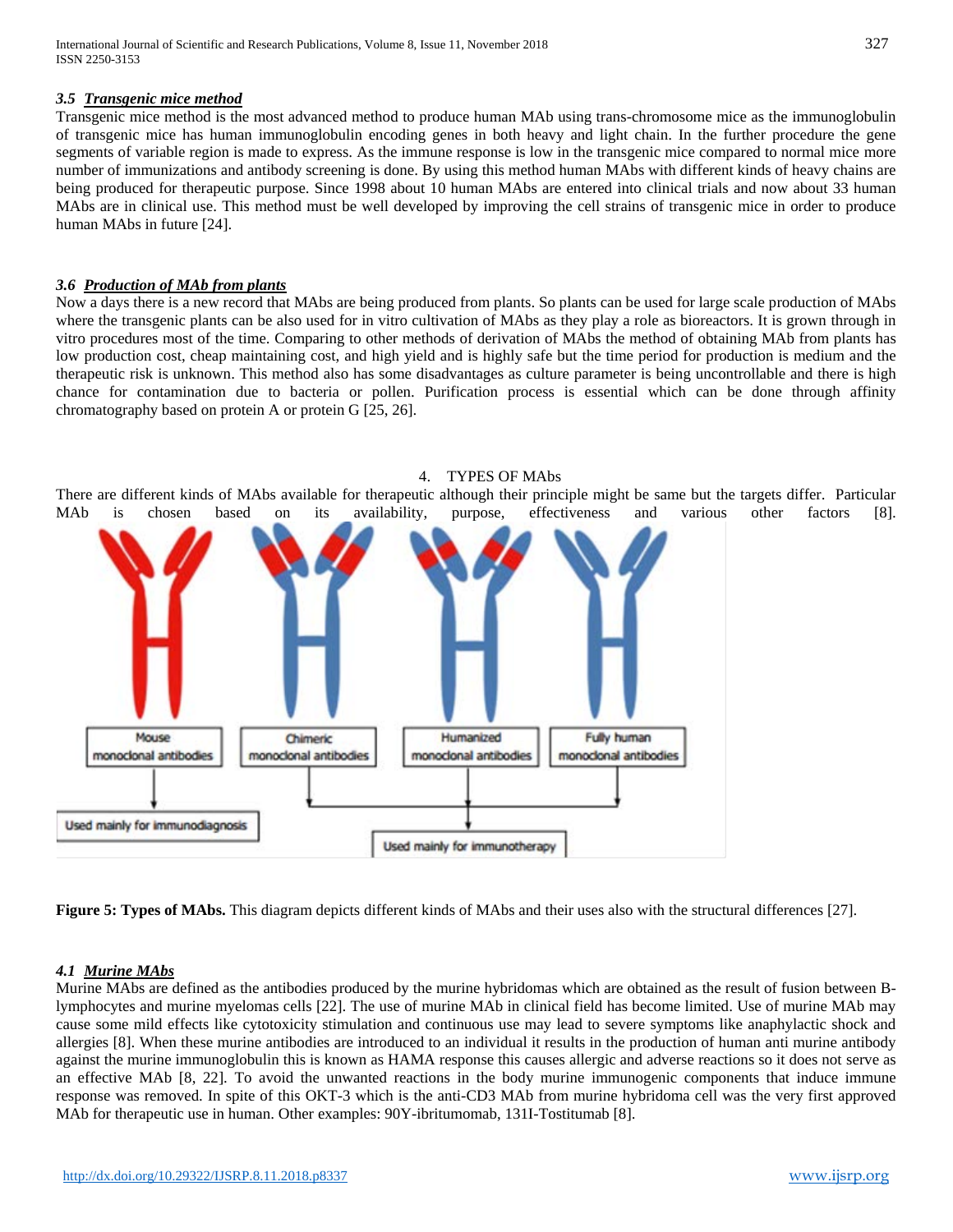#### *3.5 Transgenic mice method*

Transgenic mice method is the most advanced method to produce human MAb using trans-chromosome mice as the immunoglobulin of transgenic mice has human immunoglobulin encoding genes in both heavy and light chain. In the further procedure the gene segments of variable region is made to express. As the immune response is low in the transgenic mice compared to normal mice more number of immunizations and antibody screening is done. By using this method human MAbs with different kinds of heavy chains are being produced for therapeutic purpose. Since 1998 about 10 human MAbs are entered into clinical trials and now about 33 human MAbs are in clinical use. This method must be well developed by improving the cell strains of transgenic mice in order to produce human MAbs in future [24].

#### *3.6 Production of MAb from plants*

Now a days there is a new record that MAbs are being produced from plants. So plants can be used for large scale production of MAbs where the transgenic plants can be also used for in vitro cultivation of MAbs as they play a role as bioreactors. It is grown through in vitro procedures most of the time. Comparing to other methods of derivation of MAbs the method of obtaining MAb from plants has low production cost, cheap maintaining cost, and high yield and is highly safe but the time period for production is medium and the therapeutic risk is unknown. This method also has some disadvantages as culture parameter is being uncontrollable and there is high chance for contamination due to bacteria or pollen. Purification process is essential which can be done through affinity chromatography based on protein A or protein G [25, 26].

#### 4. TYPES OF MAbs

There are different kinds of MAbs available for therapeutic although their principle might be same but the targets differ. Particular MAb is chosen based on its availability, purpose, effectiveness and various other factors [8].



**Figure 5: Types of MAbs.** This diagram depicts different kinds of MAbs and their uses also with the structural differences [27].

## *4.1 Murine MAbs*

Murine MAbs are defined as the antibodies produced by the murine hybridomas which are obtained as the result of fusion between Blymphocytes and murine myelomas cells [22]. The use of murine MAb in clinical field has become limited. Use of murine MAb may cause some mild effects like cytotoxicity stimulation and continuous use may lead to severe symptoms like anaphylactic shock and allergies [8]. When these murine antibodies are introduced to an individual it results in the production of human anti murine antibody against the murine immunoglobulin this is known as HAMA response this causes allergic and adverse reactions so it does not serve as an effective MAb [8, 22]. To avoid the unwanted reactions in the body murine immunogenic components that induce immune response was removed. In spite of this OKT-3 which is the anti-CD3 MAb from murine hybridoma cell was the very first approved MAb for therapeutic use in human. Other examples:  $90Y$ -ibritumomab, 131I-Tostitumab [8].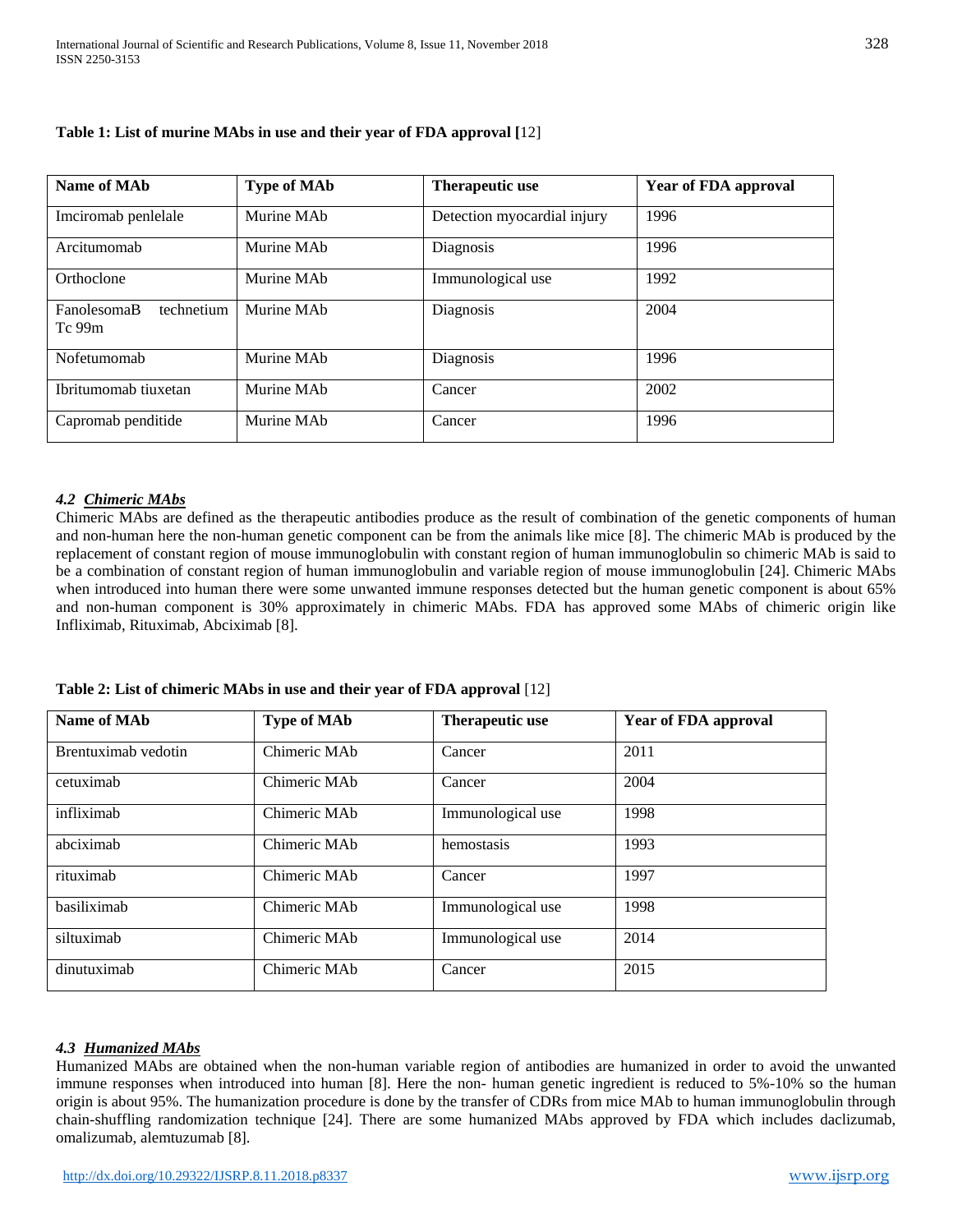| Name of MA <sub>b</sub>             | <b>Type of MAb</b>     | Therapeutic use             | <b>Year of FDA approval</b> |
|-------------------------------------|------------------------|-----------------------------|-----------------------------|
| Imciromab penlelale                 | Murine MAb             | Detection myocardial injury | 1996                        |
| Arcitumomab                         | Murine MAb             | Diagnosis                   | 1996                        |
| Orthoclone                          | Murine MA <sub>h</sub> | Immunological use           | 1992                        |
| FanolesomaB<br>technetium<br>Tc 99m | Murine MAb             | Diagnosis                   | 2004                        |
| Nofetumomab                         | Murine MAb             | Diagnosis                   | 1996                        |
| Ibritumomab tiuxetan                | Murine MAb             | Cancer                      | 2002                        |
| Capromab penditide                  | Murine MAb             | Cancer                      | 1996                        |

# **Table 1: List of murine MAbs in use and their year of FDA approval [**12]

## *4.2 Chimeric MAbs*

Chimeric MAbs are defined as the therapeutic antibodies produce as the result of combination of the genetic components of human and non-human here the non-human genetic component can be from the animals like mice [8]. The chimeric MAb is produced by the replacement of constant region of mouse immunoglobulin with constant region of human immunoglobulin so chimeric MAb is said to be a combination of constant region of human immunoglobulin and variable region of mouse immunoglobulin [24]. Chimeric MAbs when introduced into human there were some unwanted immune responses detected but the human genetic component is about 65% and non-human component is 30% approximately in chimeric MAbs. FDA has approved some MAbs of chimeric origin like Infliximab, Rituximab, Abciximab [8].

| Name of MA <sub>b</sub> | <b>Type of MAb</b> | Therapeutic use   | <b>Year of FDA approval</b> |
|-------------------------|--------------------|-------------------|-----------------------------|
| Brentuximab vedotin     | Chimeric MAb       | Cancer            | 2011                        |
| cetuximab               | Chimeric MAb       | Cancer            | 2004                        |
| infliximab              | Chimeric MAb       | Immunological use | 1998                        |
| abciximab               | Chimeric MAb       | hemostasis        | 1993                        |
| rituximab               | Chimeric MAb       | Cancer            | 1997                        |
| basiliximab             | Chimeric MAb       | Immunological use | 1998                        |
| siltuximab              | Chimeric MAb       | Immunological use | 2014                        |
| dinutuximab             | Chimeric MAb       | Cancer            | 2015                        |

**Table 2: List of chimeric MAbs in use and their year of FDA approval** [12]

## *4.3 Humanized MAbs*

Humanized MAbs are obtained when the non-human variable region of antibodies are humanized in order to avoid the unwanted immune responses when introduced into human [8]. Here the non- human genetic ingredient is reduced to 5%-10% so the human origin is about 95%. The humanization procedure is done by the transfer of CDRs from mice MAb to human immunoglobulin through chain-shuffling randomization technique [24]. There are some humanized MAbs approved by FDA which includes daclizumab, omalizumab, alemtuzumab [8].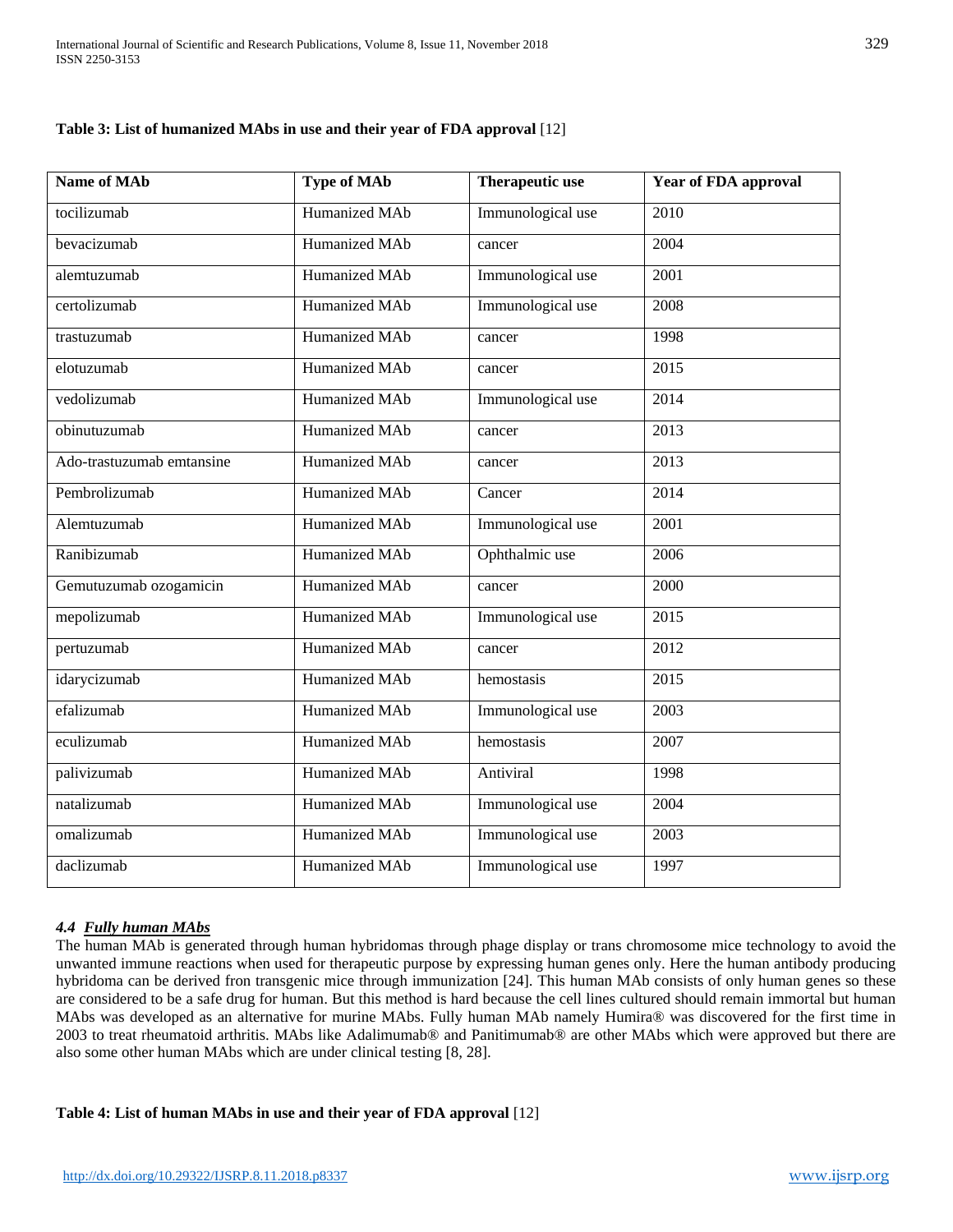# **Table 3: List of humanized MAbs in use and their year of FDA approval** [12]

| Name of MAb               | <b>Type of MAb</b> | <b>Therapeutic use</b> | Year of FDA approval |
|---------------------------|--------------------|------------------------|----------------------|
| tocilizumab               | Humanized MAb      | Immunological use      | 2010                 |
| bevacizumab               | Humanized MAb      | cancer                 | 2004                 |
| alemtuzumab               | Humanized MAb      | Immunological use      | 2001                 |
| certolizumab              | Humanized MAb      | Immunological use      | 2008                 |
| trastuzumab               | Humanized MAb      | cancer                 | 1998                 |
| elotuzumab                | Humanized MAb      | cancer                 | 2015                 |
| vedolizumab               | Humanized MAb      | Immunological use      | 2014                 |
| obinutuzumab              | Humanized MAb      | cancer                 | 2013                 |
| Ado-trastuzumab emtansine | Humanized MAb      | cancer                 | 2013                 |
| Pembrolizumab             | Humanized MAb      | Cancer                 | 2014                 |
| Alemtuzumab               | Humanized MAb      | Immunological use      | 2001                 |
| Ranibizumab               | Humanized MAb      | Ophthalmic use         | 2006                 |
| Gemutuzumab ozogamicin    | Humanized MAb      | cancer                 | 2000                 |
| mepolizumab               | Humanized MAb      | Immunological use      | 2015                 |
| pertuzumab                | Humanized MAb      | cancer                 | 2012                 |
| idarycizumab              | Humanized MAb      | hemostasis             | 2015                 |
| efalizumab                | Humanized MAb      | Immunological use      | 2003                 |
| eculizumab                | Humanized MAb      | hemostasis             | 2007                 |
| palivizumab               | Humanized MAb      | Antiviral              | 1998                 |
| natalizumab               | Humanized MAb      | Immunological use      | 2004                 |
| omalizumab                | Humanized MAb      | Immunological use      | 2003                 |
| daclizumab                | Humanized MAb      | Immunological use      | 1997                 |

## *4.4 Fully human MAbs*

The human MAb is generated through human hybridomas through phage display or trans chromosome mice technology to avoid the unwanted immune reactions when used for therapeutic purpose by expressing human genes only. Here the human antibody producing hybridoma can be derived fron transgenic mice through immunization [24]. This human MAb consists of only human genes so these are considered to be a safe drug for human. But this method is hard because the cell lines cultured should remain immortal but human MAbs was developed as an alternative for murine MAbs. Fully human MAb namely Humira® was discovered for the first time in 2003 to treat rheumatoid arthritis. MAbs like Adalimumab® and Panitimumab® are other MAbs which were approved but there are also some other human MAbs which are under clinical testing [8, 28].

## **Table 4: List of human MAbs in use and their year of FDA approval** [12]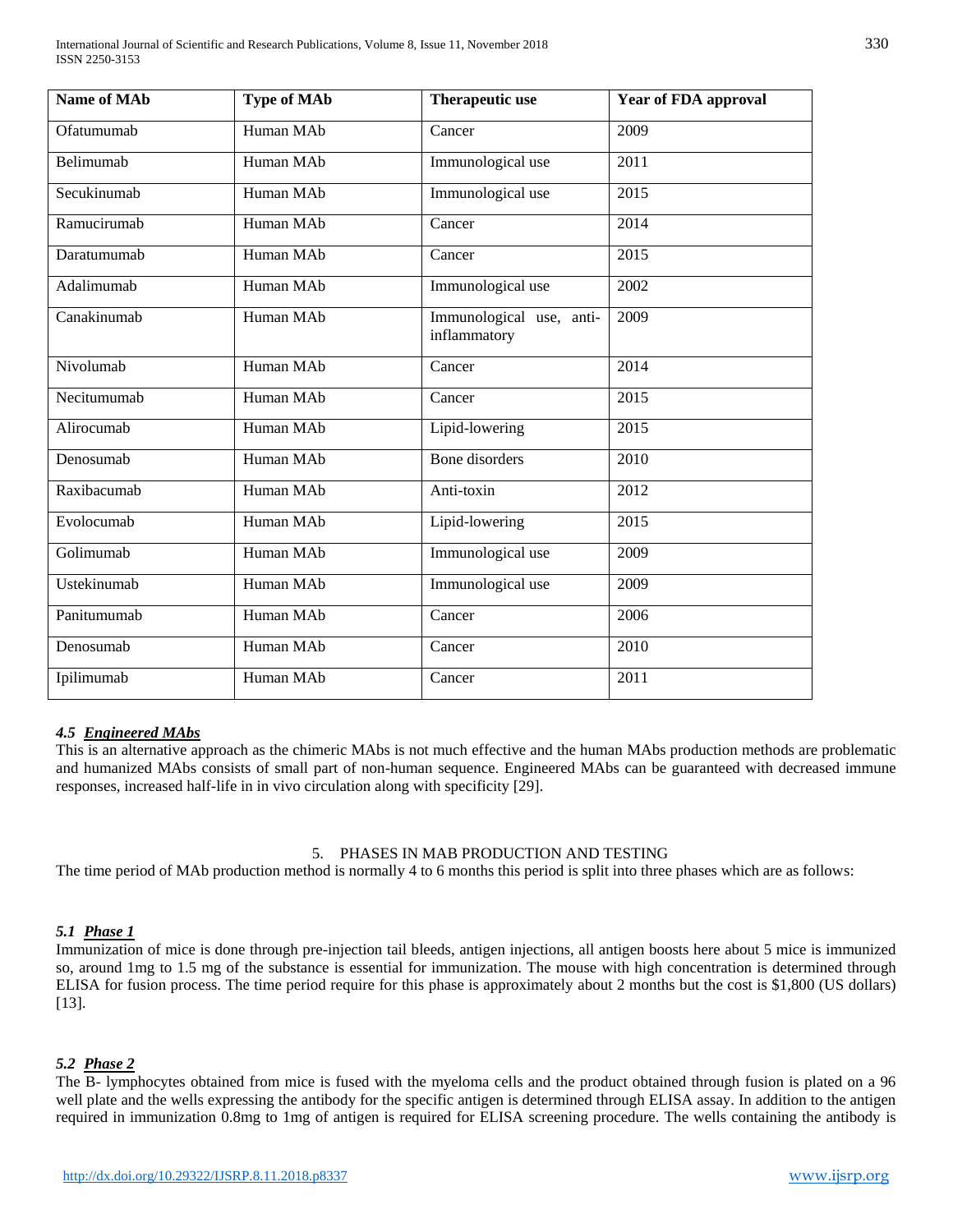International Journal of Scientific and Research Publications, Volume 8, Issue 11, November 2018 330 ISSN 2250-3153

| <b>Name of MAb</b> | <b>Type of MAb</b> | <b>Therapeutic use</b>                   | <b>Year of FDA approval</b> |
|--------------------|--------------------|------------------------------------------|-----------------------------|
| Ofatumumab         | Human MAb          | Cancer                                   | 2009                        |
| Belimumab          | Human MAb          | Immunological use                        | 2011                        |
| Secukinumab        | Human MAb          | Immunological use                        | 2015                        |
| Ramucirumab        | Human MAb          | Cancer                                   | 2014                        |
| Daratumumab        | Human MAb          | Cancer                                   | 2015                        |
| Adalimumab         | Human MAb          | Immunological use                        | 2002                        |
| Canakinumab        | Human MAb          | Immunological use, anti-<br>inflammatory | 2009                        |
| Nivolumab          | Human MAb          | Cancer                                   | 2014                        |
| Necitumumab        | Human MAb          | Cancer                                   | 2015                        |
| Alirocumab         | Human MAb          | Lipid-lowering                           | 2015                        |
| Denosumab          | Human MAb          | <b>Bone</b> disorders                    | 2010                        |
| Raxibacumab        | Human MAb          | Anti-toxin                               | 2012                        |
| Evolocumab         | Human MAb          | Lipid-lowering                           | 2015                        |
| Golimumab          | Human MAb          | Immunological use                        | 2009                        |
| Ustekinumab        | Human MAb          | Immunological use                        | 2009                        |
| Panitumumab        | Human MAb          | Cancer                                   | 2006                        |
| Denosumab          | Human MAb          | Cancer                                   | 2010                        |
| Ipilimumab         | Human MAb          | Cancer                                   | 2011                        |

#### *4.5 Engineered MAbs*

This is an alternative approach as the chimeric MAbs is not much effective and the human MAbs production methods are problematic and humanized MAbs consists of small part of non-human sequence. Engineered MAbs can be guaranteed with decreased immune responses, increased half-life in in vivo circulation along with specificity [29].

#### 5. PHASES IN MAB PRODUCTION AND TESTING

The time period of MAb production method is normally 4 to 6 months this period is split into three phases which are as follows:

#### *5.1 Phase 1*

Immunization of mice is done through pre-injection tail bleeds, antigen injections, all antigen boosts here about 5 mice is immunized so, around 1mg to 1.5 mg of the substance is essential for immunization. The mouse with high concentration is determined through ELISA for fusion process. The time period require for this phase is approximately about 2 months but the cost is \$1,800 (US dollars) [13].

#### *5.2 Phase 2*

The B- lymphocytes obtained from mice is fused with the myeloma cells and the product obtained through fusion is plated on a 96 well plate and the wells expressing the antibody for the specific antigen is determined through ELISA assay. In addition to the antigen required in immunization 0.8mg to 1mg of antigen is required for ELISA screening procedure. The wells containing the antibody is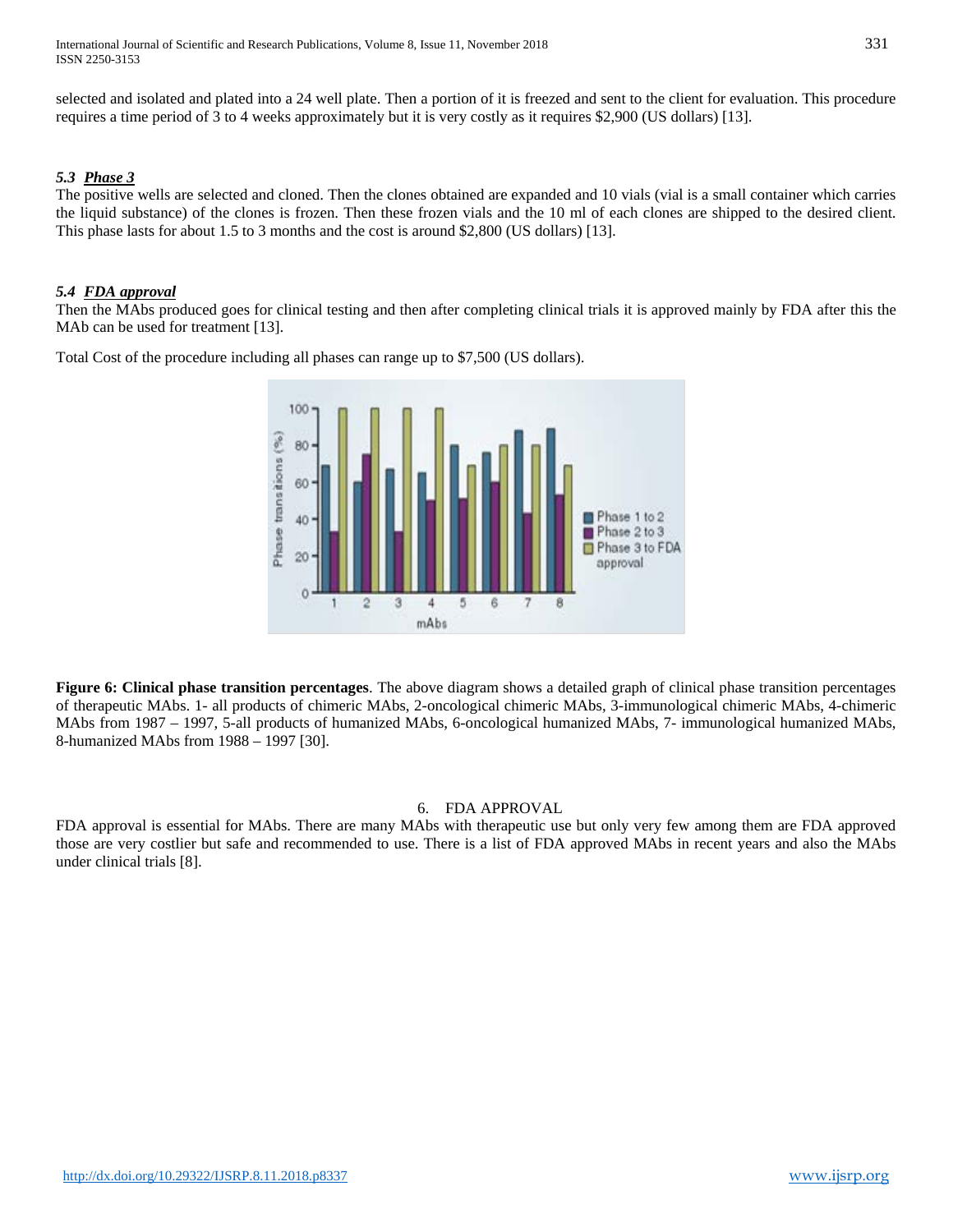selected and isolated and plated into a 24 well plate. Then a portion of it is freezed and sent to the client for evaluation. This procedure requires a time period of 3 to 4 weeks approximately but it is very costly as it requires \$2,900 (US dollars) [13].

## *5.3 Phase 3*

The positive wells are selected and cloned. Then the clones obtained are expanded and 10 vials (vial is a small container which carries the liquid substance) of the clones is frozen. Then these frozen vials and the 10 ml of each clones are shipped to the desired client. This phase lasts for about 1.5 to 3 months and the cost is around \$2,800 (US dollars) [13].

## *5.4 FDA approval*

Then the MAbs produced goes for clinical testing and then after completing clinical trials it is approved mainly by FDA after this the MAb can be used for treatment [13].

Total Cost of the procedure including all phases can range up to \$7,500 (US dollars).



**Figure 6: Clinical phase transition percentages**. The above diagram shows a detailed graph of clinical phase transition percentages of therapeutic MAbs. 1- all products of chimeric MAbs, 2-oncological chimeric MAbs, 3-immunological chimeric MAbs, 4-chimeric MAbs from 1987 – 1997, 5-all products of humanized MAbs, 6-oncological humanized MAbs, 7- immunological humanized MAbs, 8-humanized MAbs from 1988 – 1997 [30].

#### 6. FDA APPROVAL

FDA approval is essential for MAbs. There are many MAbs with therapeutic use but only very few among them are FDA approved those are very costlier but safe and recommended to use. There is a list of FDA approved MAbs in recent years and also the MAbs under clinical trials [8].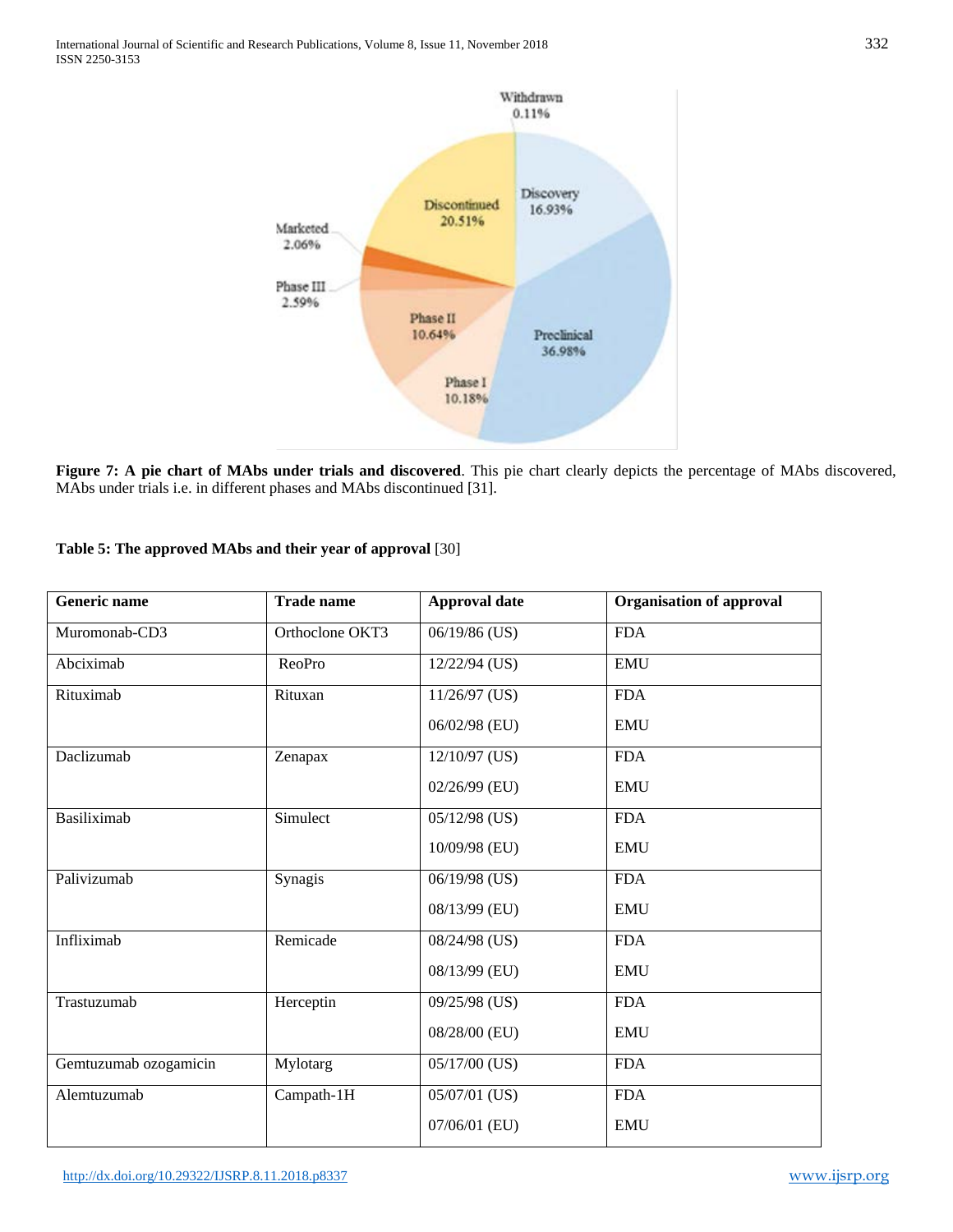

**Figure 7: A pie chart of MAbs under trials and discovered**. This pie chart clearly depicts the percentage of MAbs discovered, MAbs under trials i.e. in different phases and MAbs discontinued [31].

## **Table 5: The approved MAbs and their year of approval** [30]

| <b>Generic name</b>   | <b>Trade name</b> | <b>Approval date</b> | <b>Organisation of approval</b> |
|-----------------------|-------------------|----------------------|---------------------------------|
| Muromonab-CD3         | Orthoclone OKT3   | 06/19/86 (US)        | <b>FDA</b>                      |
| Abciximab             | ReoPro            | 12/22/94 (US)        | <b>EMU</b>                      |
| Rituximab             | Rituxan           | $11/26/97$ (US)      | <b>FDA</b>                      |
|                       |                   | 06/02/98 (EU)        | <b>EMU</b>                      |
| Daclizumab            | Zenapax           | 12/10/97 (US)        | <b>FDA</b>                      |
|                       |                   | 02/26/99 (EU)        | <b>EMU</b>                      |
| <b>Basiliximab</b>    | Simulect          | 05/12/98 (US)        | <b>FDA</b>                      |
|                       |                   | 10/09/98 (EU)        | <b>EMU</b>                      |
| Palivizumab           | Synagis           | 06/19/98 (US)        | <b>FDA</b>                      |
|                       |                   | 08/13/99 (EU)        | <b>EMU</b>                      |
| Infliximab            | Remicade          | 08/24/98 (US)        | <b>FDA</b>                      |
|                       |                   | 08/13/99 (EU)        | <b>EMU</b>                      |
| Trastuzumab           | Herceptin         | 09/25/98 (US)        | <b>FDA</b>                      |
|                       |                   | 08/28/00 (EU)        | <b>EMU</b>                      |
| Gemtuzumab ozogamicin | Mylotarg          | 05/17/00 (US)        | <b>FDA</b>                      |
| Alemtuzumab           | Campath-1H        | 05/07/01 (US)        | <b>FDA</b>                      |
|                       |                   | 07/06/01 (EU)        | <b>EMU</b>                      |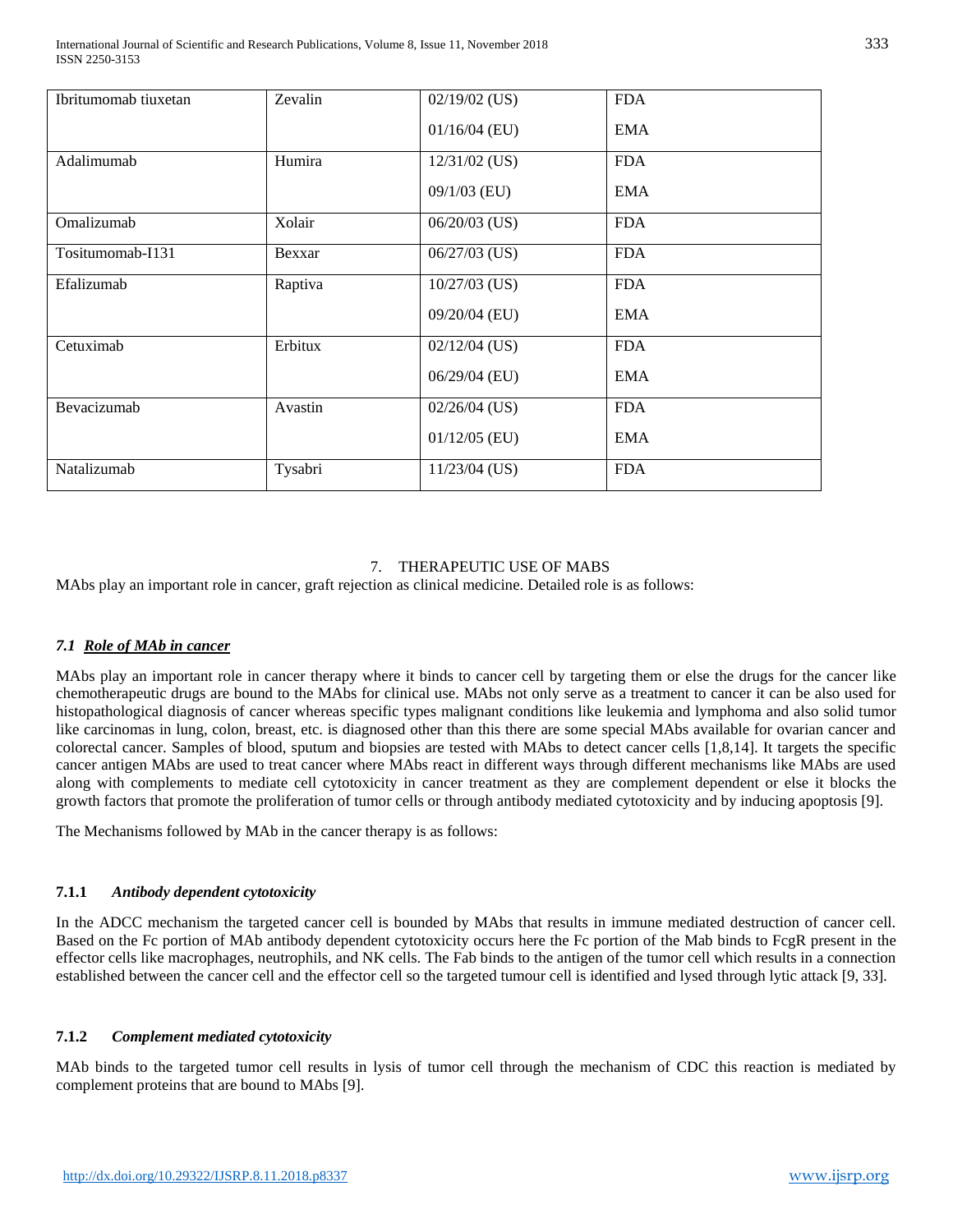| Ibritumomab tiuxetan | Zevalin | $02/19/02$ (US) | <b>FDA</b> |  |
|----------------------|---------|-----------------|------------|--|
|                      |         | $01/16/04$ (EU) | <b>EMA</b> |  |
| Adalimumab           | Humira  | $12/31/02$ (US) | <b>FDA</b> |  |
|                      |         | 09/1/03 (EU)    | <b>EMA</b> |  |
| Omalizumab           | Xolair  | $06/20/03$ (US) | <b>FDA</b> |  |
| Tositumomab-I131     | Bexxar  | $06/27/03$ (US) | <b>FDA</b> |  |
| Efalizumab           | Raptiva | $10/27/03$ (US) | <b>FDA</b> |  |
|                      |         | 09/20/04 (EU)   | <b>EMA</b> |  |
| Cetuximab            | Erbitux | $02/12/04$ (US) | <b>FDA</b> |  |
|                      |         | 06/29/04 (EU)   | <b>EMA</b> |  |
| Bevacizumab          | Avastin | 02/26/04 (US)   | <b>FDA</b> |  |
|                      |         | $01/12/05$ (EU) | <b>EMA</b> |  |
| Natalizumab          | Tysabri | $11/23/04$ (US) | <b>FDA</b> |  |

# 7. THERAPEUTIC USE OF MABS

MAbs play an important role in cancer, graft rejection as clinical medicine. Detailed role is as follows:

## *7.1 Role of MAb in cancer*

MAbs play an important role in cancer therapy where it binds to cancer cell by targeting them or else the drugs for the cancer like chemotherapeutic drugs are bound to the MAbs for clinical use. MAbs not only serve as a treatment to cancer it can be also used for histopathological diagnosis of cancer whereas specific types malignant conditions like leukemia and lymphoma and also solid tumor like carcinomas in lung, colon, breast, etc. is diagnosed other than this there are some special MAbs available for ovarian cancer and colorectal cancer. Samples of blood, sputum and biopsies are tested with MAbs to detect cancer cells [1,8,14]. It targets the specific cancer antigen MAbs are used to treat cancer where MAbs react in different ways through different mechanisms like MAbs are used along with complements to mediate cell cytotoxicity in cancer treatment as they are complement dependent or else it blocks the growth factors that promote the proliferation of tumor cells or through antibody mediated cytotoxicity and by inducing apoptosis [9].

The Mechanisms followed by MAb in the cancer therapy is as follows:

## **7.1.1** *Antibody dependent cytotoxicity*

In the ADCC mechanism the targeted cancer cell is bounded by MAbs that results in immune mediated destruction of cancer cell. Based on the Fc portion of MAb antibody dependent cytotoxicity occurs here the Fc portion of the Mab binds to FcgR present in the effector cells like macrophages, neutrophils, and NK cells. The Fab binds to the antigen of the tumor cell which results in a connection established between the cancer cell and the effector cell so the targeted tumour cell is identified and lysed through lytic attack [9, 33].

# **7.1.2** *Complement mediated cytotoxicity*

MAb binds to the targeted tumor cell results in lysis of tumor cell through the mechanism of CDC this reaction is mediated by complement proteins that are bound to MAbs [9].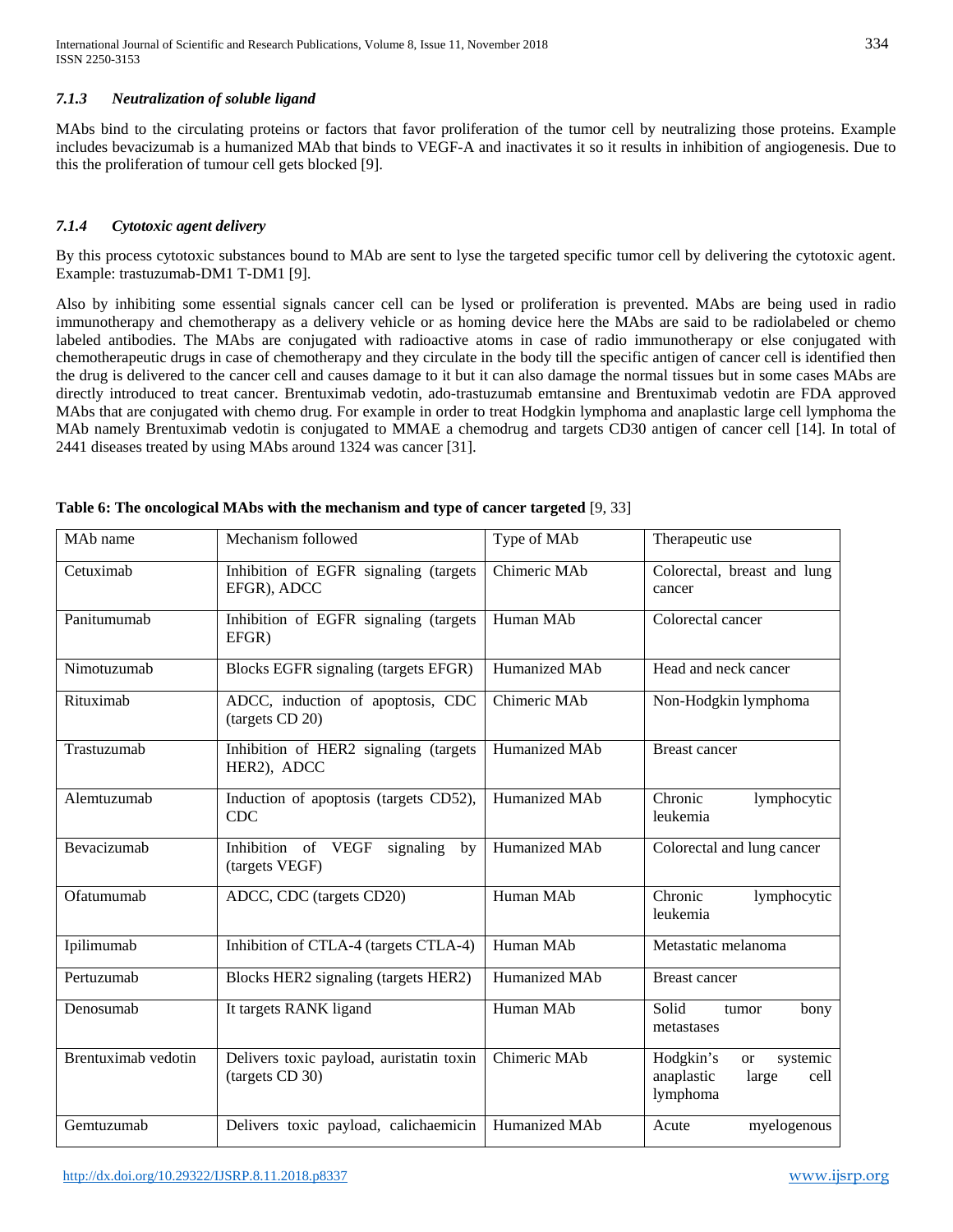## *7.1.3 Neutralization of soluble ligand*

MAbs bind to the circulating proteins or factors that favor proliferation of the tumor cell by neutralizing those proteins. Example includes bevacizumab is a humanized MAb that binds to VEGF-A and inactivates it so it results in inhibition of angiogenesis. Due to this the proliferation of tumour cell gets blocked [9].

## *7.1.4 Cytotoxic agent delivery*

By this process cytotoxic substances bound to MAb are sent to lyse the targeted specific tumor cell by delivering the cytotoxic agent. Example: trastuzumab-DM1 T-DM1 [9].

Also by inhibiting some essential signals cancer cell can be lysed or proliferation is prevented. MAbs are being used in radio immunotherapy and chemotherapy as a delivery vehicle or as homing device here the MAbs are said to be radiolabeled or chemo labeled antibodies. The MAbs are conjugated with radioactive atoms in case of radio immunotherapy or else conjugated with chemotherapeutic drugs in case of chemotherapy and they circulate in the body till the specific antigen of cancer cell is identified then the drug is delivered to the cancer cell and causes damage to it but it can also damage the normal tissues but in some cases MAbs are directly introduced to treat cancer. Brentuximab vedotin, ado-trastuzumab emtansine and Brentuximab vedotin are FDA approved MAbs that are conjugated with chemo drug. For example in order to treat Hodgkin lymphoma and anaplastic large cell lymphoma the MAb namely Brentuximab vedotin is conjugated to MMAE a chemodrug and targets CD30 antigen of cancer cell [14]. In total of 2441 diseases treated by using MAbs around 1324 was cancer [31].

| MAb name            | Mechanism followed                                          | Type of MAb   | Therapeutic use                                                                   |
|---------------------|-------------------------------------------------------------|---------------|-----------------------------------------------------------------------------------|
| Cetuximab           | Inhibition of EGFR signaling (targets<br>EFGR), ADCC        | Chimeric MAb  | Colorectal, breast and lung<br>cancer                                             |
| Panitumumab         | Inhibition of EGFR signaling (targets<br>EFGR)              | Human MAb     | Colorectal cancer                                                                 |
| Nimotuzumab         | Blocks EGFR signaling (targets EFGR)                        | Humanized MAb | Head and neck cancer                                                              |
| Rituximab           | ADCC, induction of apoptosis, CDC<br>(targets CD 20)        | Chimeric MAb  | Non-Hodgkin lymphoma                                                              |
| Trastuzumab         | Inhibition of HER2 signaling (targets<br>HER2), ADCC        | Humanized MAb | <b>Breast cancer</b>                                                              |
| Alemtuzumab         | Induction of apoptosis (targets CD52),<br><b>CDC</b>        | Humanized MAb | Chronic<br>lymphocytic<br>leukemia                                                |
| Bevacizumab         | Inhibition of VEGF<br>signaling<br>by<br>(targets VEGF)     | Humanized MAb | Colorectal and lung cancer                                                        |
| Ofatumumab          | ADCC, CDC (targets CD20)                                    | Human MAb     | Chronic<br>lymphocytic<br>leukemia                                                |
| Ipilimumab          | Inhibition of CTLA-4 (targets CTLA-4)                       | Human MAb     | Metastatic melanoma                                                               |
| Pertuzumab          | Blocks HER2 signaling (targets HER2)                        | Humanized MAb | <b>Breast cancer</b>                                                              |
| Denosumab           | It targets RANK ligand                                      | Human MAb     | Solid<br>bony<br>tumor<br>metastases                                              |
| Brentuximab vedotin | Delivers toxic payload, auristatin toxin<br>(targets CD 30) | Chimeric MAb  | Hodgkin's<br>systemic<br><sub>or</sub><br>anaplastic<br>cell<br>large<br>lymphoma |
| Gemtuzumab          | Delivers toxic payload, calichaemicin                       | Humanized MAb | Acute<br>myelogenous                                                              |

#### **Table 6: The oncological MAbs with the mechanism and type of cancer targeted** [9, 33]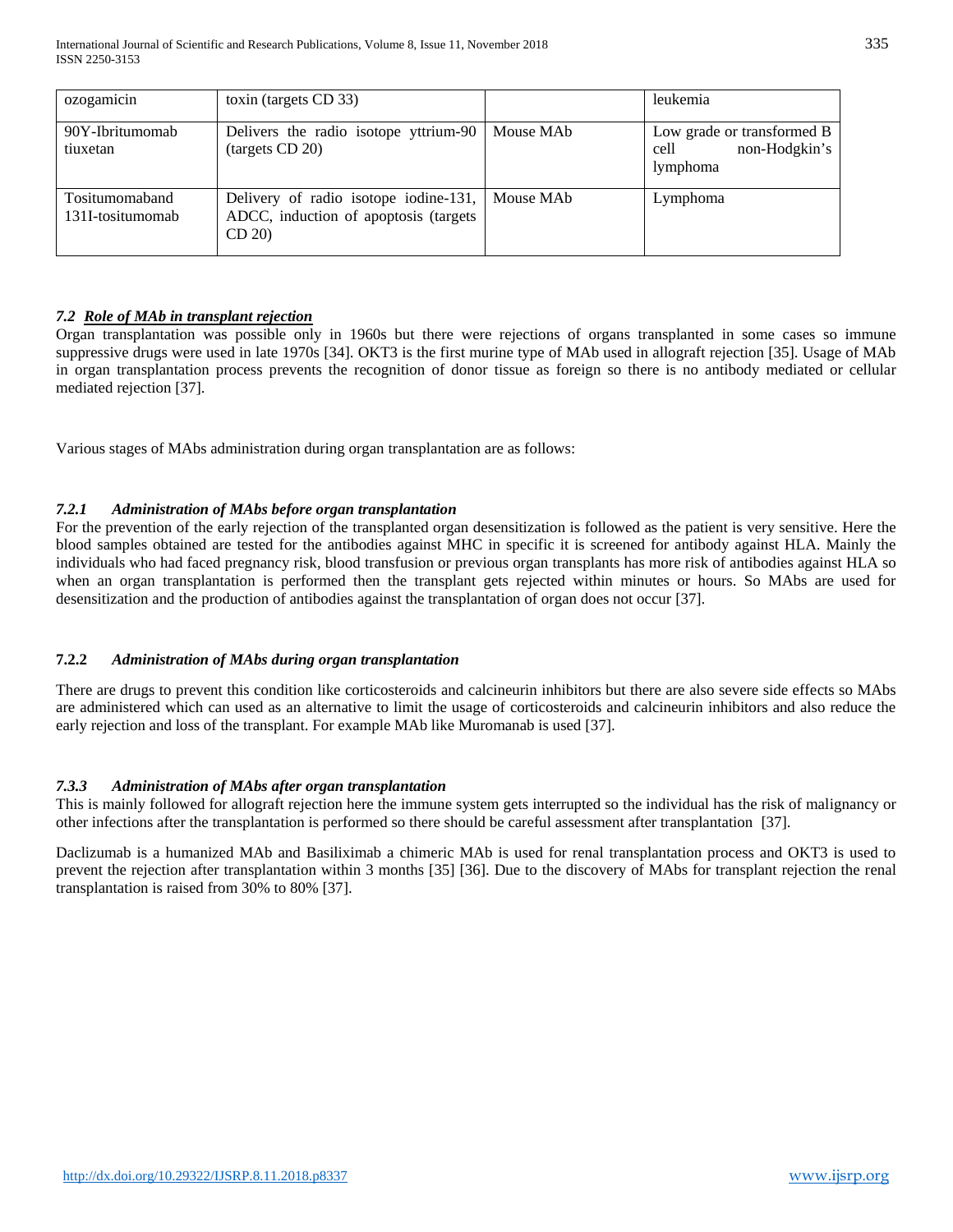| ozogamicin                         | toxin (targets CD 33)                                                                                |           | leukemia                                                        |
|------------------------------------|------------------------------------------------------------------------------------------------------|-----------|-----------------------------------------------------------------|
| 90Y-Ibritumomab<br>tiuxetan        | Delivers the radio isotope yttrium-90<br>(targets CD 20)                                             | Mouse MAb | Low grade or transformed B<br>non-Hodgkin's<br>cell<br>lymphoma |
| Tositumomaband<br>131I-tositumomab | Delivery of radio isotope iodine-131,   Mouse MAb<br>ADCC, induction of apoptosis (targets)<br>CD 20 |           | Lymphoma                                                        |

# *7.2 Role of MAb in transplant rejection*

Organ transplantation was possible only in 1960s but there were rejections of organs transplanted in some cases so immune suppressive drugs were used in late 1970s [34]. OKT3 is the first murine type of MAb used in allograft rejection [35]. Usage of MAb in organ transplantation process prevents the recognition of donor tissue as foreign so there is no antibody mediated or cellular mediated rejection [37].

Various stages of MAbs administration during organ transplantation are as follows:

## *7.2.1 Administration of MAbs before organ transplantation*

For the prevention of the early rejection of the transplanted organ desensitization is followed as the patient is very sensitive. Here the blood samples obtained are tested for the antibodies against MHC in specific it is screened for antibody against HLA. Mainly the individuals who had faced pregnancy risk, blood transfusion or previous organ transplants has more risk of antibodies against HLA so when an organ transplantation is performed then the transplant gets rejected within minutes or hours. So MAbs are used for desensitization and the production of antibodies against the transplantation of organ does not occur [37].

## **7.2.2** *Administration of MAbs during organ transplantation*

There are drugs to prevent this condition like corticosteroids and calcineurin inhibitors but there are also severe side effects so MAbs are administered which can used as an alternative to limit the usage of corticosteroids and calcineurin inhibitors and also reduce the early rejection and loss of the transplant. For example MAb like Muromanab is used [37].

## *7.3.3 Administration of MAbs after organ transplantation*

This is mainly followed for allograft rejection here the immune system gets interrupted so the individual has the risk of malignancy or other infections after the transplantation is performed so there should be careful assessment after transplantation [37].

Daclizumab is a humanized MAb and Basiliximab a chimeric MAb is used for renal transplantation process and OKT3 is used to prevent the rejection after transplantation within 3 months [35] [36]. Due to the discovery of MAbs for transplant rejection the renal transplantation is raised from 30% to 80% [37].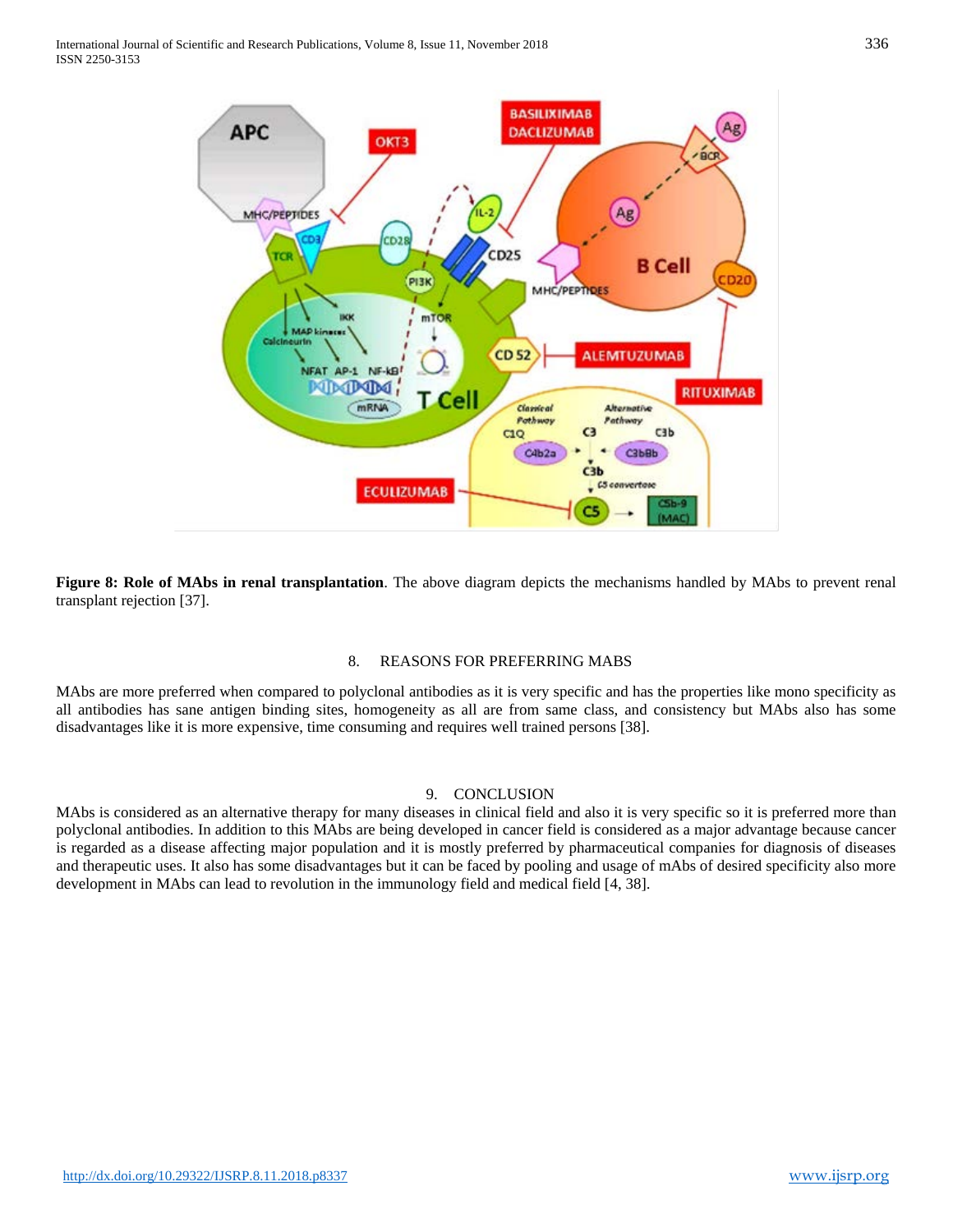

**Figure 8: Role of MAbs in renal transplantation**. The above diagram depicts the mechanisms handled by MAbs to prevent renal transplant rejection [37].

#### 8. REASONS FOR PREFERRING MABS

MAbs are more preferred when compared to polyclonal antibodies as it is very specific and has the properties like mono specificity as all antibodies has sane antigen binding sites, homogeneity as all are from same class, and consistency but MAbs also has some disadvantages like it is more expensive, time consuming and requires well trained persons [38].

## 9. CONCLUSION

MAbs is considered as an alternative therapy for many diseases in clinical field and also it is very specific so it is preferred more than polyclonal antibodies. In addition to this MAbs are being developed in cancer field is considered as a major advantage because cancer is regarded as a disease affecting major population and it is mostly preferred by pharmaceutical companies for diagnosis of diseases and therapeutic uses. It also has some disadvantages but it can be faced by pooling and usage of mAbs of desired specificity also more development in MAbs can lead to revolution in the immunology field and medical field [4, 38].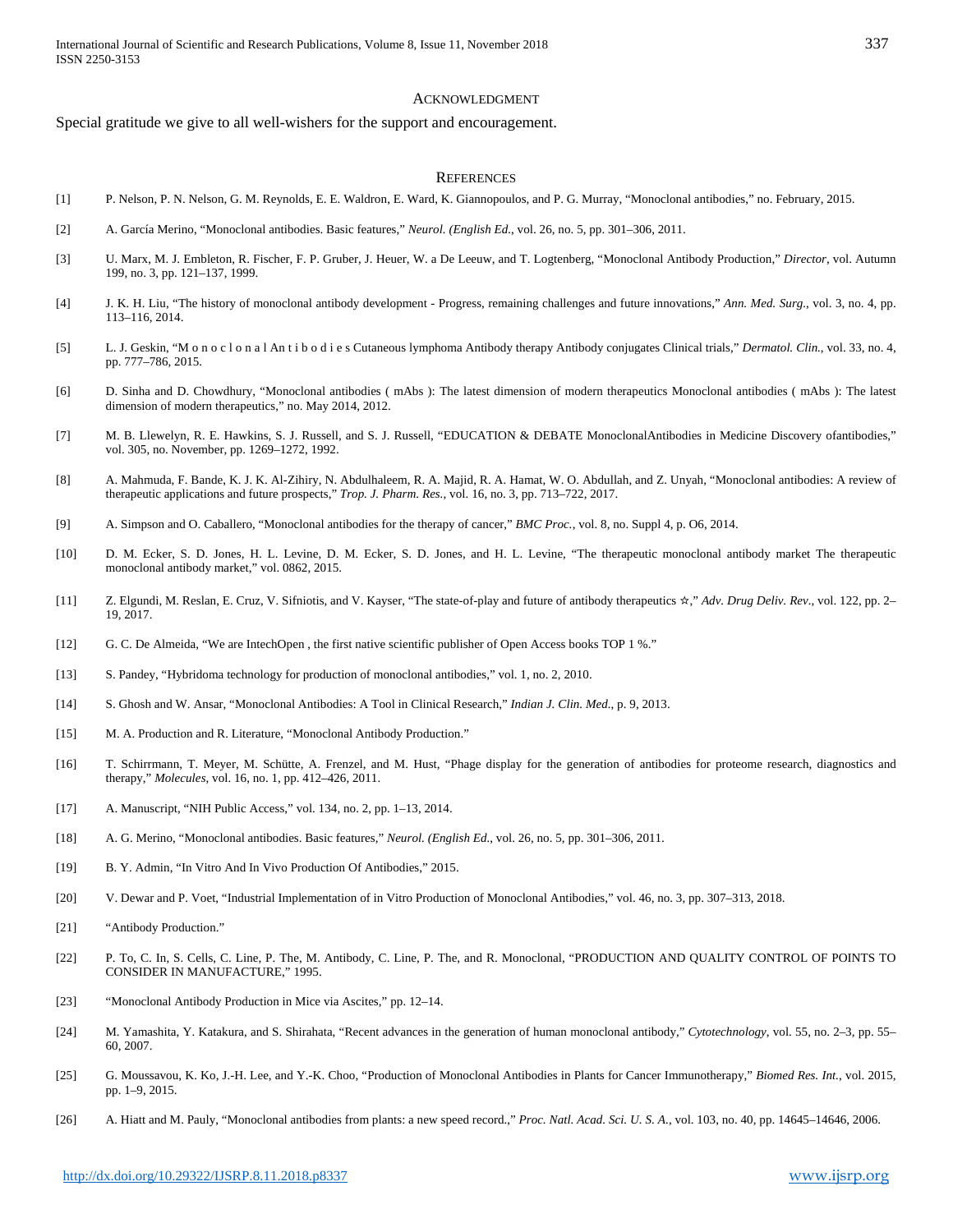#### ACKNOWLEDGMENT

Special gratitude we give to all well-wishers for the support and encouragement.

#### **REFERENCES**

- [1] P. Nelson, P. N. Nelson, G. M. Reynolds, E. E. Waldron, E. Ward, K. Giannopoulos, and P. G. Murray, "Monoclonal antibodies," no. February, 2015.
- [2] A. García Merino, "Monoclonal antibodies. Basic features," *Neurol. (English Ed.*, vol. 26, no. 5, pp. 301–306, 2011.
- [3] U. Marx, M. J. Embleton, R. Fischer, F. P. Gruber, J. Heuer, W. a De Leeuw, and T. Logtenberg, "Monoclonal Antibody Production," *Director*, vol. Autumn 199, no. 3, pp. 121–137, 1999.
- [4] J. K. H. Liu, "The history of monoclonal antibody development Progress, remaining challenges and future innovations," *Ann. Med. Surg.*, vol. 3, no. 4, pp. 113–116, 2014.
- [5] L. J. Geskin, "M o n o c l o n a l An t i b o d i e s Cutaneous lymphoma Antibody therapy Antibody conjugates Clinical trials," *Dermatol. Clin.*, vol. 33, no. 4, pp. 777–786, 2015.
- [6] D. Sinha and D. Chowdhury, "Monoclonal antibodies ( mAbs ): The latest dimension of modern therapeutics Monoclonal antibodies ( mAbs ): The latest dimension of modern therapeutics," no. May 2014, 2012.
- [7] M. B. Llewelyn, R. E. Hawkins, S. J. Russell, and S. J. Russell, "EDUCATION & DEBATE MonoclonalAntibodies in Medicine Discovery ofantibodies," vol. 305, no. November, pp. 1269–1272, 1992.
- [8] A. Mahmuda, F. Bande, K. J. K. Al-Zihiry, N. Abdulhaleem, R. A. Majid, R. A. Hamat, W. O. Abdullah, and Z. Unyah, "Monoclonal antibodies: A review of therapeutic applications and future prospects," *Trop. J. Pharm. Res.*, vol. 16, no. 3, pp. 713–722, 2017.
- [9] A. Simpson and O. Caballero, "Monoclonal antibodies for the therapy of cancer," *BMC Proc.*, vol. 8, no. Suppl 4, p. O6, 2014.
- [10] D. M. Ecker, S. D. Jones, H. L. Levine, D. M. Ecker, S. D. Jones, and H. L. Levine, "The therapeutic monoclonal antibody market The therapeutic monoclonal antibody market," vol. 0862, 2015.
- [11] Z. Elgundi, M. Reslan, E. Cruz, V. Sifniotis, and V. Kayser, "The state-of-play and future of antibody therapeutics ☆," *Adv. Drug Deliv. Rev.*, vol. 122, pp. 2– 19, 2017.
- [12] G. C. De Almeida, "We are IntechOpen, the first native scientific publisher of Open Access books TOP 1 %."
- [13] S. Pandey, "Hybridoma technology for production of monoclonal antibodies," vol. 1, no. 2, 2010.
- [14] S. Ghosh and W. Ansar, "Monoclonal Antibodies: A Tool in Clinical Research," *Indian J. Clin. Med.*, p. 9, 2013.
- [15] M. A. Production and R. Literature, "Monoclonal Antibody Production."
- [16] T. Schirrmann, T. Meyer, M. Schütte, A. Frenzel, and M. Hust, "Phage display for the generation of antibodies for proteome research, diagnostics and therapy," *Molecules*, vol. 16, no. 1, pp. 412–426, 2011.
- [17] A. Manuscript, "NIH Public Access," vol. 134, no. 2, pp. 1–13, 2014.
- [18] A. G. Merino, "Monoclonal antibodies. Basic features," *Neurol. (English Ed.*, vol. 26, no. 5, pp. 301–306, 2011.
- [19] B. Y. Admin, "In Vitro And In Vivo Production Of Antibodies," 2015.
- [20] V. Dewar and P. Voet, "Industrial Implementation of in Vitro Production of Monoclonal Antibodies," vol. 46, no. 3, pp. 307–313, 2018.
- [21] "Antibody Production."
- [22] P. To, C. In, S. Cells, C. Line, P. The, M. Antibody, C. Line, P. The, and R. Monoclonal, "PRODUCTION AND QUALITY CONTROL OF POINTS TO CONSIDER IN MANUFACTURE," 1995.
- [23] "Monoclonal Antibody Production in Mice via Ascites," pp. 12–14.
- [24] M. Yamashita, Y. Katakura, and S. Shirahata, "Recent advances in the generation of human monoclonal antibody," *Cytotechnology*, vol. 55, no. 2–3, pp. 55– 60, 2007.
- [25] G. Moussavou, K. Ko, J.-H. Lee, and Y.-K. Choo, "Production of Monoclonal Antibodies in Plants for Cancer Immunotherapy," *Biomed Res. Int.*, vol. 2015, pp. 1–9, 2015.
- [26] A. Hiatt and M. Pauly, "Monoclonal antibodies from plants: a new speed record.," *Proc. Natl. Acad. Sci. U. S. A.*, vol. 103, no. 40, pp. 14645–14646, 2006.